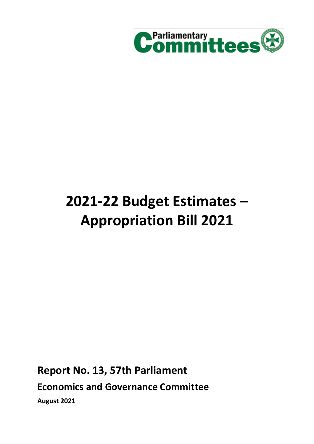

# **2021-22 Budget Estimates – Appropriation Bill 2021**

**Report No. 13, 57th Parliament Economics and Governance Committee August 2021**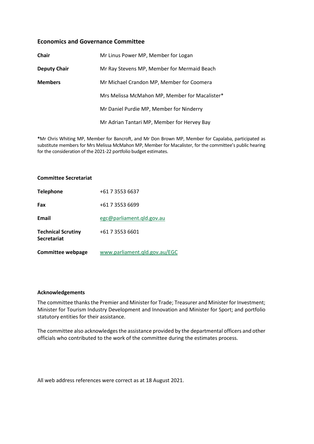## **Economics and Governance Committee**

| <b>Chair</b>        | Mr Linus Power MP, Member for Logan            |
|---------------------|------------------------------------------------|
| <b>Deputy Chair</b> | Mr Ray Stevens MP, Member for Mermaid Beach    |
| <b>Members</b>      | Mr Michael Crandon MP, Member for Coomera      |
|                     | Mrs Melissa McMahon MP, Member for Macalister* |
|                     | Mr Daniel Purdie MP, Member for Ninderry       |
|                     | Mr Adrian Tantari MP, Member for Hervey Bay    |

**\***Mr Chris Whiting MP, Member for Bancroft, and Mr Don Brown MP, Member for Capalaba, participated as substitute members for Mrs Melissa McMahon MP, Member for Macalister, for the committee's public hearing for the consideration of the 2021-22 portfolio budget estimates.

#### **Committee Secretariat**

| <b>Telephone</b>                                | +61 7 3553 6637               |
|-------------------------------------------------|-------------------------------|
| Fax                                             | +61 7 3553 6699               |
| Email                                           | egc@parliament.gld.gov.au     |
| <b>Technical Scrutiny</b><br><b>Secretariat</b> | +61 7 3553 6601               |
| <b>Committee webpage</b>                        | www.parliament.qld.gov.au/EGC |

#### **Acknowledgements**

The committee thanks the Premier and Minister for Trade; Treasurer and Minister for Investment; Minister for Tourism Industry Development and Innovation and Minister for Sport; and portfolio statutory entities for their assistance.

The committee also acknowledges the assistance provided by the departmental officers and other officials who contributed to the work of the committee during the estimates process.

All web address references were correct as at 18 August 2021.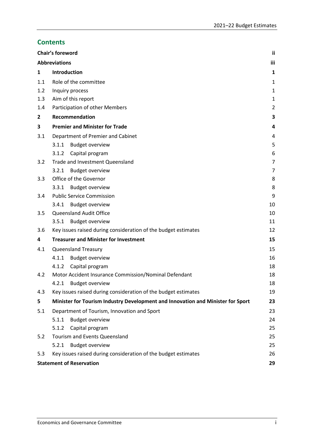# **Contents**

|              | Chair's foreword                                                                | Ϊİ             |
|--------------|---------------------------------------------------------------------------------|----------------|
|              | <b>Abbreviations</b>                                                            | iii            |
| 1            | Introduction                                                                    | 1              |
| 1.1          | Role of the committee                                                           | $\mathbf{1}$   |
| 1.2          | Inquiry process                                                                 | $\mathbf{1}$   |
| 1.3          | Aim of this report                                                              | 1              |
| 1.4          | Participation of other Members                                                  | $\overline{2}$ |
| $\mathbf{2}$ | Recommendation                                                                  | 3              |
| 3            | <b>Premier and Minister for Trade</b>                                           | 4              |
| 3.1          | Department of Premier and Cabinet                                               | 4              |
|              | 3.1.1<br><b>Budget overview</b>                                                 | 5              |
|              | Capital program<br>3.1.2                                                        | 6              |
| 3.2          | Trade and Investment Queensland                                                 | $\overline{7}$ |
|              | 3.2.1<br><b>Budget overview</b>                                                 | 7              |
| 3.3          | Office of the Governor                                                          | 8              |
|              | <b>Budget overview</b><br>3.3.1                                                 | 8              |
| 3.4          | <b>Public Service Commission</b>                                                | 9              |
|              | <b>Budget overview</b><br>3.4.1                                                 | 10             |
| 3.5          | Queensland Audit Office                                                         | 10             |
|              | 3.5.1<br><b>Budget overview</b>                                                 | 11             |
| 3.6          | Key issues raised during consideration of the budget estimates                  | 12             |
| 4            | <b>Treasurer and Minister for Investment</b>                                    | 15             |
| 4.1          | Queensland Treasury                                                             | 15             |
|              | 4.1.1<br><b>Budget overview</b>                                                 | 16             |
|              | 4.1.2<br>Capital program                                                        | 18             |
| 4.2          | Motor Accident Insurance Commission/Nominal Defendant                           | 18             |
|              | 4.2.1<br><b>Budget overview</b>                                                 | 18             |
| 4.3          | Key issues raised during consideration of the budget estimates                  | 19             |
| 5            | Minister for Tourism Industry Development and Innovation and Minister for Sport | 23             |
| 5.1          | Department of Tourism, Innovation and Sport                                     | 23             |
|              | <b>Budget overview</b><br>5.1.1                                                 | 24             |
|              | 5.1.2<br>Capital program                                                        | 25             |
| 5.2          | Tourism and Events Queensland                                                   | 25             |
|              | 5.2.1<br><b>Budget overview</b>                                                 | 25             |
| 5.3          | Key issues raised during consideration of the budget estimates                  | 26             |
|              | <b>Statement of Reservation</b>                                                 | 29             |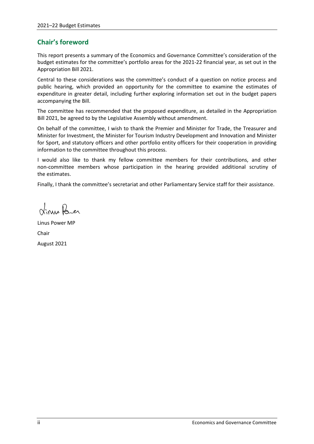# <span id="page-3-0"></span>**Chair's foreword**

This report presents a summary of the Economics and Governance Committee's consideration of the budget estimates for the committee's portfolio areas for the 2021-22 financial year, as set out in the Appropriation Bill 2021.

Central to these considerations was the committee's conduct of a question on notice process and public hearing, which provided an opportunity for the committee to examine the estimates of expenditure in greater detail, including further exploring information set out in the budget papers accompanying the Bill.

The committee has recommended that the proposed expenditure, as detailed in the Appropriation Bill 2021, be agreed to by the Legislative Assembly without amendment.

On behalf of the committee, I wish to thank the Premier and Minister for Trade, the Treasurer and Minister for Investment, the Minister for Tourism Industry Development and Innovation and Minister for Sport, and statutory officers and other portfolio entity officers for their cooperation in providing information to the committee throughout this process.

I would also like to thank my fellow committee members for their contributions, and other non-committee members whose participation in the hearing provided additional scrutiny of the estimates.

Finally, I thank the committee's secretariat and other Parliamentary Service staff for their assistance.

Vinus Parer

Linus Power MP Chair August 2021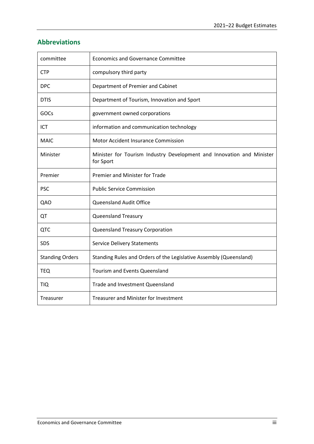# <span id="page-4-0"></span>**Abbreviations**

| committee              | <b>Economics and Governance Committee</b>                                          |
|------------------------|------------------------------------------------------------------------------------|
| <b>CTP</b>             | compulsory third party                                                             |
| <b>DPC</b>             | Department of Premier and Cabinet                                                  |
| <b>DTIS</b>            | Department of Tourism, Innovation and Sport                                        |
| <b>GOCs</b>            | government owned corporations                                                      |
| ICT                    | information and communication technology                                           |
| <b>MAIC</b>            | <b>Motor Accident Insurance Commission</b>                                         |
| Minister               | Minister for Tourism Industry Development and Innovation and Minister<br>for Sport |
| Premier                | Premier and Minister for Trade                                                     |
| <b>PSC</b>             | <b>Public Service Commission</b>                                                   |
| QAO                    | <b>Queensland Audit Office</b>                                                     |
| QT                     | <b>Queensland Treasury</b>                                                         |
| QTC                    | Queensland Treasury Corporation                                                    |
| <b>SDS</b>             | <b>Service Delivery Statements</b>                                                 |
| <b>Standing Orders</b> | Standing Rules and Orders of the Legislative Assembly (Queensland)                 |
| <b>TEQ</b>             | <b>Tourism and Events Queensland</b>                                               |
| <b>TIQ</b>             | Trade and Investment Queensland                                                    |
| Treasurer              | Treasurer and Minister for Investment                                              |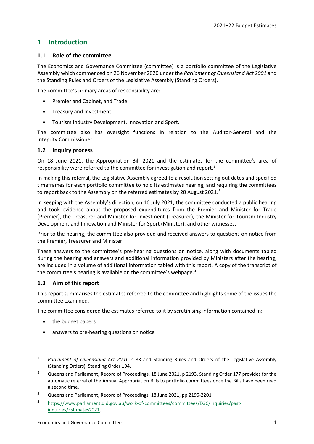# <span id="page-6-0"></span>**1 Introduction**

## <span id="page-6-1"></span>**1.1 Role of the committee**

The Economics and Governance Committee (committee) is a portfolio committee of the Legislative Assembly which commenced on 26 November 2020 under the *Parliament of Queensland Act 2001* and the Standing Rules and Orders of the Legislative Assembly (Standing Orders). [1](#page-6-4)

The committee's primary areas of responsibility are:

- Premier and Cabinet, and Trade
- Treasury and Investment
- Tourism Industry Development, Innovation and Sport.

The committee also has oversight functions in relation to the Auditor-General and the Integrity Commissioner.

## <span id="page-6-2"></span>**1.2 Inquiry process**

On 18 June 2021, the Appropriation Bill 2021 and the estimates for the committee's area of responsibility were referred to the committee for investigation and report.[2](#page-6-5)

In making this referral, the Legislative Assembly agreed to a resolution setting out dates and specified timeframes for each portfolio committee to hold its estimates hearing, and requiring the committees to report back to the Assembly on the referred estimates by 20 August 2021.<sup>[3](#page-6-6)</sup>

In keeping with the Assembly's direction, on 16 July 2021, the committee conducted a public hearing and took evidence about the proposed expenditures from the Premier and Minister for Trade (Premier), the Treasurer and Minister for Investment (Treasurer), the Minister for Tourism Industry Development and Innovation and Minister for Sport (Minister), and other witnesses.

Prior to the hearing, the committee also provided and received answers to questions on notice from the Premier, Treasurer and Minister.

These answers to the committee's pre-hearing questions on notice, along with documents tabled during the hearing and answers and additional information provided by Ministers after the hearing, are included in a volume of additional information tabled with this report. A copy of the transcript of the committee's hearing is available on the committee's webpage[.4](#page-6-7)

## <span id="page-6-3"></span>**1.3 Aim of this report**

This report summarises the estimates referred to the committee and highlights some of the issues the committee examined.

The committee considered the estimates referred to it by scrutinising information contained in:

the budget papers

1

answers to pre-hearing questions on notice

<span id="page-6-4"></span><sup>1</sup> *Parliament of Queensland Act 2001*, s 88 and Standing Rules and Orders of the Legislative Assembly (Standing Orders), Standing Order 194.

<span id="page-6-5"></span><sup>2</sup> Queensland Parliament, Record of Proceedings, 18 June 2021, p 2193. Standing Order 177 provides for the automatic referral of the Annual Appropriation Bills to portfolio committees once the Bills have been read a second time.

<span id="page-6-6"></span><sup>3</sup> Queensland Parliament, Record of Proceedings, 18 June 2021, pp 2195-2201.

<span id="page-6-7"></span><sup>4</sup> [https://www.parliament.qld.gov.au/work-of-committees/committees/EGC/inquiries/past](https://www.parliament.qld.gov.au/work-of-committees/committees/EGC/inquiries/past-inquiries/Estimates2021)[inquiries/Estimates2021.](https://www.parliament.qld.gov.au/work-of-committees/committees/EGC/inquiries/past-inquiries/Estimates2021)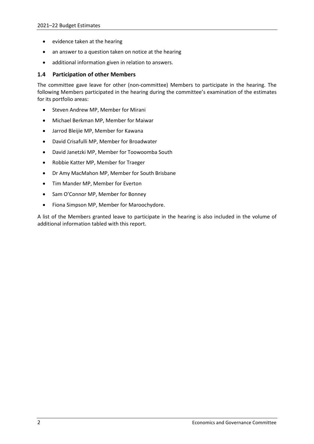- evidence taken at the hearing
- an answer to a question taken on notice at the hearing
- additional information given in relation to answers.

## <span id="page-7-0"></span>**1.4 Participation of other Members**

The committee gave leave for other (non-committee) Members to participate in the hearing. The following Members participated in the hearing during the committee's examination of the estimates for its portfolio areas:

- Steven Andrew MP, Member for Mirani
- Michael Berkman MP, Member for Maiwar
- Jarrod Bleijie MP, Member for Kawana
- David Crisafulli MP, Member for Broadwater
- David Janetzki MP, Member for Toowoomba South
- Robbie Katter MP, Member for Traeger
- Dr Amy MacMahon MP, Member for South Brisbane
- Tim Mander MP, Member for Everton
- Sam O'Connor MP, Member for Bonney
- Fiona Simpson MP, Member for Maroochydore.

A list of the Members granted leave to participate in the hearing is also included in the volume of additional information tabled with this report.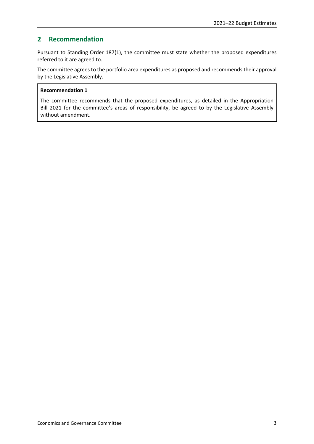# <span id="page-8-0"></span>**2 Recommendation**

Pursuant to Standing Order 187(1), the committee must state whether the proposed expenditures referred to it are agreed to.

The committee agrees to the portfolio area expenditures as proposed and recommends their approval by the Legislative Assembly.

## **Recommendation 1**

The committee recommends that the proposed expenditures, as detailed in the Appropriation Bill 2021 for the committee's areas of responsibility, be agreed to by the Legislative Assembly without amendment.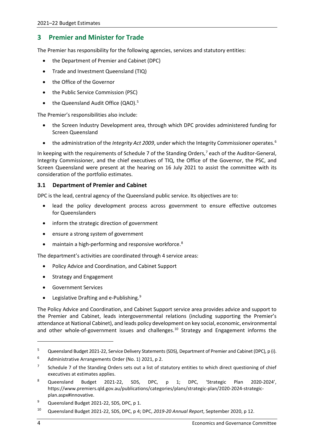# <span id="page-9-0"></span>**3 Premier and Minister for Trade**

The Premier has responsibility for the following agencies, services and statutory entities:

- the Department of Premier and Cabinet (DPC)
- Trade and Investment Queensland (TIQ)
- the Office of the Governor
- the Public Service Commission (PSC)
- the Queensland Audit Office (QAO).<sup>[5](#page-9-2)</sup>

The Premier's responsibilities also include:

- the Screen Industry Development area, through which DPC provides administered funding for Screen Queensland
- the administration of the *Integrity Act 2009*, under which the Integrity Commissioner operates.<sup>[6](#page-9-3)</sup>

In keeping with the requirements of Schedule [7](#page-9-4) of the Standing Orders,<sup>7</sup> each of the Auditor-General, Integrity Commissioner, and the chief executives of TIQ, the Office of the Governor, the PSC, and Screen Queensland were present at the hearing on 16 July 2021 to assist the committee with its consideration of the portfolio estimates.

## <span id="page-9-1"></span>**3.1 Department of Premier and Cabinet**

DPC is the lead, central agency of the Queensland public service. Its objectives are to:

- lead the policy development process across government to ensure effective outcomes for Queenslanders
- inform the strategic direction of government
- ensure a strong system of government
- maintain a high-performing and responsive workforce.<sup>[8](#page-9-5)</sup>

The department's activities are coordinated through 4 service areas:

- Policy Advice and Coordination, and Cabinet Support
- Strategy and Engagement
- Government Services
- Legislative Drafting and e-Publishing. $9$

The Policy Advice and Coordination, and Cabinet Support service area provides advice and support to the Premier and Cabinet, leads intergovernmental relations (including supporting the Premier's attendance at National Cabinet), and leads policy development on key social, economic, environmental and other whole-of-government issues and challenges.<sup>[10](#page-9-7)</sup> Strategy and Engagement informs the

<span id="page-9-2"></span><sup>5</sup> Queensland Budget 2021-22, Service Delivery Statements (SDS), Department of Premier and Cabinet (DPC), p (i).

<span id="page-9-3"></span><sup>6</sup> Administrative Arrangements Order (No. 1) 2021, p 2.

<span id="page-9-4"></span><sup>&</sup>lt;sup>7</sup> Schedule 7 of the Standing Orders sets out a list of statutory entities to which direct questioning of chief executives at estimates applies.

<span id="page-9-5"></span><sup>8</sup> Queensland Budget 2021-22, SDS, DPC, p 1; DPC, 'Strategic Plan 2020-2024', [https://www.premiers.qld.gov.au/publications/categories/plans/strategic-plan/2020-2024-strategic](https://www.premiers.qld.gov.au/publications/categories/plans/strategic-plan/2020-2024-strategic-plan.aspx#innovative)[plan.aspx#innovative.](https://www.premiers.qld.gov.au/publications/categories/plans/strategic-plan/2020-2024-strategic-plan.aspx#innovative)

<span id="page-9-6"></span><sup>&</sup>lt;sup>9</sup> Queensland Budget 2021-22, SDS, DPC, p 1.

<span id="page-9-7"></span><sup>10</sup> Queensland Budget 2021-22, SDS, DPC, p 4; DPC, *2019-20 Annual Report*, September 2020, p 12.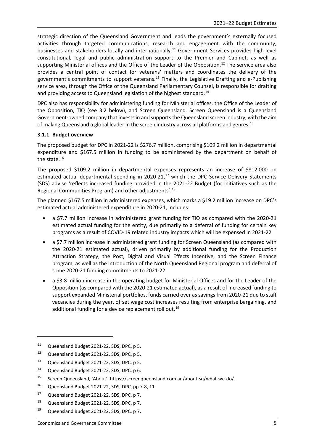strategic direction of the Queensland Government and leads the government's externally focused activities through targeted communications, research and engagement with the community, businesses and stakeholders locally and internationally. [11](#page-10-1) Government Services provides high-level constitutional, legal and public administration support to the Premier and Cabinet, as well as supporting Ministerial offices and the Office of the Leader of the Opposition.<sup>[12](#page-10-2)</sup> The service area also provides a central point of contact for veterans' matters and coordinates the delivery of the government's commitments to support veterans.<sup>[13](#page-10-3)</sup> Finally, the Legislative Drafting and e-Publishing service area, through the Office of the Queensland Parliamentary Counsel, is responsible for drafting and providing access to Queensland legislation of the highest standard.<sup>[14](#page-10-4)</sup>

DPC also has responsibility for administering funding for Ministerial offices, the Office of the Leader of the Opposition, TIQ (see 3.2 below), and Screen Queensland. Screen Queensland is a Queensland Government-owned company that invests in and supports the Queensland screen industry, with the aim of making Queensland a global leader in the screen industry across all platforms and genres.<sup>[15](#page-10-5)</sup>

## <span id="page-10-0"></span>**3.1.1 Budget overview**

The proposed budget for DPC in 2021-22 is \$276.7 million, comprising \$109.2 million in departmental expenditure and \$167.5 million in funding to be administered by the department on behalf of the state.<sup>[16](#page-10-6)</sup>

The proposed \$109.2 million in departmental expenses represents an increase of \$812,000 on estimated actual departmental spending in 2020-21, $^{17}$  $^{17}$  $^{17}$  which the DPC Service Delivery Statements (SDS) advise 'reflects increased funding provided in the 2021-22 Budget (for initiatives such as the Regional Communities Program) and other adjustments'. [18](#page-10-8)

The planned \$167.5 million in administered expenses, which marks a \$19.2 million increase on DPC's estimated actual administered expenditure in 2020-21, includes:

- a \$7.7 million increase in administered grant funding for TIQ as compared with the 2020-21 estimated actual funding for the entity, due primarily to a deferral of funding for certain key programs as a result of COVID-19 related industry impacts which will be expensed in 2021-22
- a \$7.7 million increase in administered grant funding for Screen Queensland (as compared with the 2020-21 estimated actual), driven primarily by additional funding for the Production Attraction Strategy, the Post, Digital and Visual Effects Incentive, and the Screen Finance program, as well as the introduction of the North Queensland Regional program and deferral of some 2020-21 funding commitments to 2021-22
- a \$3.8 million increase in the operating budget for Ministerial Offices and for the Leader of the Opposition (as compared with the 2020-21 estimated actual), as a result of increased funding to support expanded Ministerial portfolios, funds carried over as savings from 2020-21 due to staff vacancies during the year, offset wage cost increases resulting from enterprise bargaining, and additional funding for a device replacement roll out.<sup>[19](#page-10-9)</sup>

<span id="page-10-1"></span><sup>11</sup> Queensland Budget 2021-22, SDS, DPC, p 5.

<span id="page-10-2"></span><sup>12</sup> Queensland Budget 2021-22, SDS, DPC, p 5.

<span id="page-10-3"></span><sup>13</sup> Queensland Budget 2021-22, SDS, DPC, p 5.

<span id="page-10-4"></span><sup>14</sup> Queensland Budget 2021-22, SDS, DPC, p 6.

<span id="page-10-5"></span><sup>15</sup> Screen Queensland, 'About', https://screenqueensland.com.au/about-sq/what-we-do/.

<span id="page-10-6"></span><sup>16</sup> Queensland Budget 2021-22, SDS, DPC, pp 7-8, 11.

<span id="page-10-7"></span><sup>&</sup>lt;sup>17</sup> Queensland Budget 2021-22, SDS, DPC, p 7.

<span id="page-10-8"></span><sup>18</sup> Queensland Budget 2021-22, SDS, DPC, p 7.

<span id="page-10-9"></span><sup>&</sup>lt;sup>19</sup> Queensland Budget 2021-22, SDS, DPC, p 7.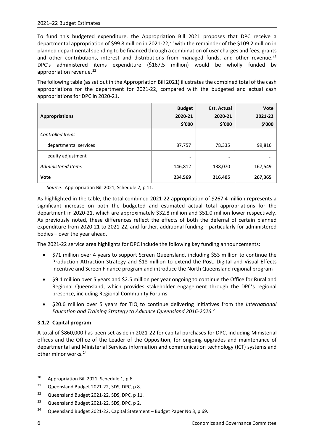To fund this budgeted expenditure, the Appropriation Bill 2021 proposes that DPC receive a departmental appropriation of \$99.8 million in [20](#page-11-1)21-22,<sup>20</sup> with the remainder of the \$109.2 million in planned departmental spending to be financed through a combination of user charges and fees, grants and other contributions, interest and distributions from managed funds, and other revenue. $^{21}$  $^{21}$  $^{21}$ DPC's administered items expenditure (\$167.5 million) would be wholly funded by appropriation revenue.<sup>[22](#page-11-3)</sup>

The following table (as set out in the Appropriation Bill 2021) illustrates the combined total of the cash appropriations for the department for 2021-22, compared with the budgeted and actual cash appropriations for DPC in 2020-21.

| <b>Appropriations</b>     | <b>Budget</b><br>2020-21<br>\$'000 | <b>Est. Actual</b><br>2020-21<br>\$'000 | <b>Vote</b><br>2021-22<br>\$'000 |
|---------------------------|------------------------------------|-----------------------------------------|----------------------------------|
| Controlled Items          |                                    |                                         |                                  |
| departmental services     | 87,757                             | 78,335                                  | 99,816                           |
| equity adjustment         |                                    |                                         | $\cdot$ $\cdot$                  |
| <b>Administered Items</b> | 146,812                            | 138,070                                 | 167,549                          |
| Vote                      | 234,569                            | 216,405                                 | 267,365                          |

*Source*: Appropriation Bill 2021, Schedule 2, p 11.

As highlighted in the table, the total combined 2021-22 appropriation of \$267.4 million represents a significant increase on both the budgeted and estimated actual total appropriations for the department in 2020-21, which are approximately \$32.8 million and \$51.0 million lower respectively. As previously noted, these differences reflect the effects of both the deferral of certain planned expenditure from 2020-21 to 2021-22, and further, additional funding – particularly for administered bodies – over the year ahead.

The 2021-22 service area highlights for DPC include the following key funding announcements:

- \$71 million over 4 years to support Screen Queensland, including \$53 million to continue the Production Attraction Strategy and \$18 million to extend the Post, Digital and Visual Effects incentive and Screen Finance program and introduce the North Queensland regional program
- \$9.1 million over 5 years and \$2.5 million per year ongoing to continue the Office for Rural and Regional Queensland, which provides stakeholder engagement through the DPC's regional presence, including Regional Community Forums
- \$20.6 million over 5 years for TIQ to continue delivering initiatives from the *International Education and Training Strategy to Advance Queensland 2016-2026*. [23](#page-11-4)

# <span id="page-11-0"></span>**3.1.2 Capital program**

A total of \$860,000 has been set aside in 2021-22 for capital purchases for DPC, including Ministerial offices and the Office of the Leader of the Opposition, for ongoing upgrades and maintenance of departmental and Ministerial Services information and communication technology (ICT) systems and other minor works.<sup>[24](#page-11-5)</sup>

<span id="page-11-1"></span><sup>20</sup> Appropriation Bill 2021, Schedule 1, p 6.

<span id="page-11-2"></span><sup>&</sup>lt;sup>21</sup> Queensland Budget 2021-22, SDS, DPC, p 8.

<span id="page-11-3"></span><sup>&</sup>lt;sup>22</sup> Queensland Budget 2021-22, SDS, DPC, p 11.

<span id="page-11-4"></span><sup>&</sup>lt;sup>23</sup> Queensland Budget 2021-22, SDS, DPC, p 2.

<span id="page-11-5"></span><sup>&</sup>lt;sup>24</sup> Queensland Budget 2021-22, Capital Statement – Budget Paper No 3, p 69.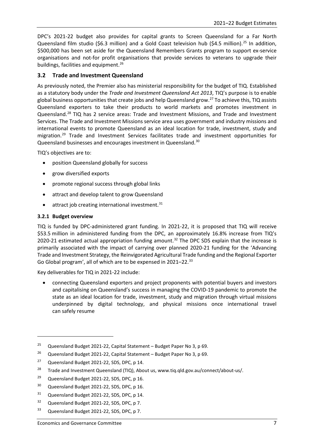DPC's 2021-22 budget also provides for capital grants to Screen Queensland for a Far North Queensland film studio (\$6.3 million) and a Gold Coast television hub (\$4.5 million).<sup>[25](#page-12-2)</sup> In addition, \$500,000 has been set aside for the Queensland Remembers Grants program to support ex-service organisations and not-for profit organisations that provide services to veterans to upgrade their buildings, facilities and equipment.<sup>[26](#page-12-3)</sup>

# <span id="page-12-0"></span>**3.2 Trade and Investment Queensland**

As previously noted, the Premier also has ministerial responsibility for the budget of TIQ. Established as a statutory body under the *Trade and Investment Queensland Act 2013*, TIQ's purpose is to enable global business opportunities that create jobs and help Queensland grow.<sup>[27](#page-12-4)</sup> To achieve this, TIQ assists Queensland exporters to take their products to world markets and promotes investment in Queensland.[28](#page-12-5) TIQ has 2 service areas: Trade and Investment Missions, and Trade and Investment Services. The Trade and Investment Missions service area uses government and industry missions and international events to promote Queensland as an ideal location for trade, investment, study and migration.<sup>[29](#page-12-6)</sup> Trade and Investment Services facilitates trade and investment opportunities for Queensland businesses and encourages investment in Queensland.<sup>[30](#page-12-7)</sup>

TIQ's objectives are to:

- position Queensland globally for success
- grow diversified exports
- promote regional success through global links
- attract and develop talent to grow Queensland
- attract job creating international investment.<sup>[31](#page-12-8)</sup>

## <span id="page-12-1"></span>**3.2.1 Budget overview**

**.** 

TIQ is funded by DPC-administered grant funding. In 2021-22, it is proposed that TIQ will receive \$53.5 million in administered funding from the DPC, an approximately 16.8% increase from TIQ's 2020-21 estimated actual appropriation funding amount.<sup>[32](#page-12-9)</sup> The DPC SDS explain that the increase is primarily associated with the impact of carrying over planned 2020-21 funding for the 'Advancing Trade and Investment Strategy, the Reinvigorated Agricultural Trade funding and the Regional Exporter Go Global program', all of which are to be expensed in 2021–22.<sup>[33](#page-12-10)</sup>

Key deliverables for TIQ in 2021-22 include:

• connecting Queensland exporters and project proponents with potential buyers and investors and capitalising on Queensland's success in managing the COVID-19 pandemic to promote the state as an ideal location for trade, investment, study and migration through virtual missions underpinned by digital technology, and physical missions once international travel can safely resume

<span id="page-12-2"></span><sup>&</sup>lt;sup>25</sup> Queensland Budget 2021-22, Capital Statement – Budget Paper No 3, p 69.

<span id="page-12-3"></span><sup>&</sup>lt;sup>26</sup> Queensland Budget 2021-22, Capital Statement – Budget Paper No 3, p 69.

<span id="page-12-4"></span><sup>&</sup>lt;sup>27</sup> Queensland Budget 2021-22, SDS, DPC, p 14.

<span id="page-12-5"></span><sup>&</sup>lt;sup>28</sup> Trade and Investment Queensland (TIQ), About us, www.tiq.qld.gov.au/connect/about-us/.

<span id="page-12-6"></span><sup>&</sup>lt;sup>29</sup> Queensland Budget 2021-22, SDS, DPC, p 16.

<span id="page-12-7"></span><sup>&</sup>lt;sup>30</sup> Queensland Budget 2021-22, SDS, DPC, p 16.

<span id="page-12-8"></span><sup>&</sup>lt;sup>31</sup> Queensland Budget 2021-22, SDS, DPC, p 14.

<span id="page-12-9"></span><sup>&</sup>lt;sup>32</sup> Queensland Budget 2021-22, SDS, DPC, p 7.

<span id="page-12-10"></span><sup>33</sup> Queensland Budget 2021-22, SDS, DPC, p 7.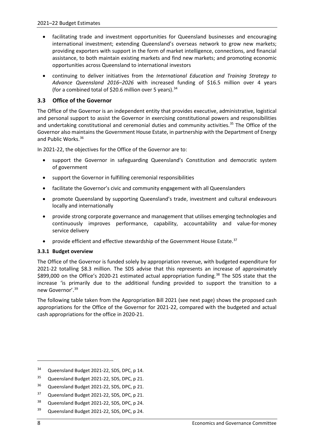- facilitating trade and investment opportunities for Queensland businesses and encouraging international investment; extending Queensland's overseas network to grow new markets; providing exporters with support in the form of market intelligence, connections, and financial assistance, to both maintain existing markets and find new markets; and promoting economic opportunities across Queensland to international investors
- continuing to deliver initiatives from the *International Education and Training Strategy to Advance Queensland 2016–2026* with increased funding of \$16.5 million over 4 years (for a combined total of \$20.6 million over 5 years).  $34$

# <span id="page-13-0"></span>**3.3 Office of the Governor**

The Office of the Governor is an independent entity that provides executive, administrative, logistical and personal support to assist the Governor in exercising constitutional powers and responsibilities and undertaking constitutional and ceremonial duties and community activities.<sup>[35](#page-13-3)</sup> The Office of the Governor also maintains the Government House Estate, in partnership with the Department of Energy and Public Works.[36](#page-13-4)

In 2021-22, the objectives for the Office of the Governor are to:

- support the Governor in safeguarding Queensland's Constitution and democratic system of government
- support the Governor in fulfilling ceremonial responsibilities
- facilitate the Governor's civic and community engagement with all Queenslanders
- promote Queensland by supporting Queensland's trade, investment and cultural endeavours locally and internationally
- provide strong corporate governance and management that utilises emerging technologies and continuously improves performance, capability, accountability and value-for-money service delivery
- provide efficient and effective stewardship of the Government House Estate.<sup>[37](#page-13-5)</sup>

## <span id="page-13-1"></span>**3.3.1 Budget overview**

The Office of the Governor is funded solely by appropriation revenue, with budgeted expenditure for 2021-22 totalling \$8.3 million. The SDS advise that this represents an increase of approximately \$899,000 on the Office's 2020-21 estimated actual appropriation funding. [38](#page-13-6) The SDS state that the increase 'is primarily due to the additional funding provided to support the transition to a new Governor'.[39](#page-13-7)

The following table taken from the Appropriation Bill 2021 (see next page) shows the proposed cash appropriations for the Office of the Governor for 2021-22, compared with the budgeted and actual cash appropriations for the office in 2020-21.

<span id="page-13-2"></span><sup>&</sup>lt;sup>34</sup> Queensland Budget 2021-22, SDS, DPC, p 14.

<span id="page-13-3"></span><sup>&</sup>lt;sup>35</sup> Queensland Budget 2021-22, SDS, DPC, p 21.

<span id="page-13-4"></span><sup>&</sup>lt;sup>36</sup> Queensland Budget 2021-22, SDS, DPC, p 21.

<span id="page-13-5"></span><sup>37</sup> Queensland Budget 2021-22, SDS, DPC, p 21.

<span id="page-13-6"></span><sup>38</sup> Queensland Budget 2021-22, SDS, DPC, p 24.

<span id="page-13-7"></span><sup>&</sup>lt;sup>39</sup> Queensland Budget 2021-22, SDS, DPC, p 24.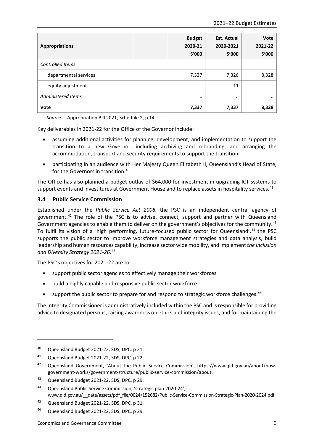| <b>Appropriations</b>     | <b>Budget</b><br>2020-21<br>\$′000 | <b>Est. Actual</b><br>2020-2021<br>\$'000 | <b>Vote</b><br>2021-22<br>\$'000 |
|---------------------------|------------------------------------|-------------------------------------------|----------------------------------|
| <b>Controlled Items</b>   |                                    |                                           |                                  |
| departmental services     | 7,337                              | 7,326                                     | 8,328                            |
| equity adjustment         | $\cdot \cdot$                      | 11                                        |                                  |
| <b>Administered Items</b> |                                    | $\cdot \cdot$                             |                                  |
| Vote                      | 7,337                              | 7,337                                     | 8,328                            |

*Source:* Appropriation Bill 2021, Schedule 2, p 14.

Key deliverables in 2021-22 for the Office of the Governor include:

- assuming additional activities for planning, development, and implementation to support the transition to a new Governor, including archiving and rebranding, and arranging the accommodation, transport and security requirements to support the transition
- participating in an audience with Her Majesty Queen Elizabeth II, Queensland's Head of State, for the Governors in transition.<sup>[40](#page-14-1)</sup>

The Office has also planned a budget outlay of \$64,000 for investment in upgrading ICT systems to support events and investitures at Government House and to replace assets in hospitality services.<sup>41</sup>

## <span id="page-14-0"></span>**3.4 Public Service Commission**

Established under the *Public Service Act 2008,* the PSC is an independent central agency of government.[42](#page-14-3) The role of the PSC is to advise, connect, support and partner with Queensland Government agencies to enable them to deliver on the government's objectives for the community.<sup>[43](#page-14-4)</sup> To fulfil its vision of a 'high performing, future-focused public sector for Queensland',<sup>[44](#page-14-5)</sup> the PSC supports the public sector to improve workforce management strategies and data analysis, build leadership and human resources capability, increase sector wide mobility, and implement *the Inclusion and Diversity Strategy 2021-26*. [45](#page-14-6)

The PSC's objectives for 2021-22 are to:

- support public sector agencies to effectively manage their workforces
- build a highly capable and responsive public sector workforce
- support the public sector to prepare for and respond to strategic workforce challenges.<sup>[46](#page-14-7)</sup>

The Integrity Commissioner is administratively included within the PSC and is responsible for providing advice to designated persons, raising awareness on ethics and integrity issues, and for maintaining the

 $\overline{a}$ 

<span id="page-14-1"></span><sup>40</sup> Queensland Budget 2021-22, SDS, DPC, p 21.

<span id="page-14-2"></span><sup>41</sup> Queensland Budget 2021-22, SDS, DPC, p 22.

<span id="page-14-3"></span><sup>42</sup> Queensland Government, 'About the Public Service Commission', https://www.qld.gov.au/about/howgovernment-works/government-structure/public-service-commission/about.

<span id="page-14-4"></span><sup>43</sup> Queensland Budget 2021-22, SDS, DPC, p 29.

<span id="page-14-5"></span><sup>44</sup> Queensland Public Service Commission, 'strategic plan 2020-24', www.qld.gov.au/\_\_data/assets/pdf\_file/0024/152682/Public-Service-Commission-Strategic-Plan-2020-2024.pdf.

<span id="page-14-6"></span><sup>45</sup> Queensland Budget 2021-22, SDS, DPC, p 31.

<span id="page-14-7"></span><sup>46</sup> Queensland Budget 2021-22, SDS, DPC, p 29.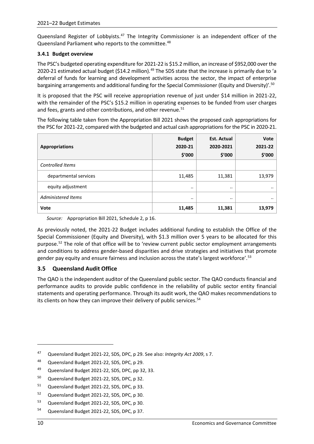Queensland Register of Lobbyists.<sup>[47](#page-15-2)</sup> The Integrity Commissioner is an independent officer of the Queensland Parliament who reports to the committee.<sup>[48](#page-15-3)</sup>

## <span id="page-15-0"></span>**3.4.1 Budget overview**

The PSC's budgeted operating expenditure for 2021-22 is \$15.2 million, an increase of \$952,000 over the 2020-21 estimated actual budget (\$14.2 million).<sup>[49](#page-15-4)</sup> The SDS state that the increase is primarily due to 'a deferral of funds for learning and development activities across the sector, the impact of enterprise bargaining arrangements and additional funding for the Special Commissioner (Equity and Diversity)'.<sup>[50](#page-15-5)</sup>

It is proposed that the PSC will receive appropriation revenue of just under \$14 million in 2021-22, with the remainder of the PSC's \$15.2 million in operating expenses to be funded from user charges and fees, grants and other contributions, and other revenue.<sup>[51](#page-15-6)</sup>

The following table taken from the Appropriation Bill 2021 shows the proposed cash appropriations for the PSC for 2021-22, compared with the budgeted and actual cash appropriations for the PSC in 2020-21.

| <b>Appropriations</b>     | <b>Budget</b><br>2020-21<br>\$'000 | <b>Est. Actual</b><br>2020-2021<br>\$′000 | <b>Vote</b><br>2021-22<br>\$'000 |
|---------------------------|------------------------------------|-------------------------------------------|----------------------------------|
| Controlled Items          |                                    |                                           |                                  |
| departmental services     | 11,485                             | 11,381                                    | 13,979                           |
| equity adjustment         |                                    |                                           | $\cdot \cdot$                    |
| <b>Administered Items</b> |                                    |                                           |                                  |
| <b>Vote</b>               | 11,485                             | 11,381                                    | 13,979                           |

*Source:* Appropriation Bill 2021, Schedule 2, p 16.

As previously noted, the 2021-22 Budget includes additional funding to establish the Office of the Special Commissioner (Equity and Diversity), with \$1.3 million over 5 years to be allocated for this purpose.<sup>[52](#page-15-7)</sup> The role of that office will be to 'review current public sector employment arrangements and conditions to address gender-based disparities and drive strategies and initiatives that promote gender pay equity and ensure fairness and inclusion across the state's largest workforce'.[53](#page-15-8)

## <span id="page-15-1"></span>**3.5 Queensland Audit Office**

The QAO is the independent auditor of the Queensland public sector. The QAO conducts financial and performance audits to provide public confidence in the reliability of public sector entity financial statements and operating performance. Through its audit work, the QAO makes recommendations to its clients on how they can improve their delivery of public services.<sup>54</sup>

- <span id="page-15-4"></span>49 Queensland Budget 2021-22, SDS, DPC, pp 32, 33.
- <span id="page-15-5"></span><sup>50</sup> Queensland Budget 2021-22, SDS, DPC, p 32.
- <span id="page-15-6"></span><sup>51</sup> Queensland Budget 2021-22, SDS, DPC, p 33.
- <span id="page-15-7"></span><sup>52</sup> Queensland Budget 2021-22, SDS, DPC, p 30.
- <span id="page-15-8"></span><sup>53</sup> Queensland Budget 2021-22, SDS, DPC, p 30.
- <span id="page-15-9"></span><sup>54</sup> Queensland Budget 2021-22, SDS, DPC, p 37.

 $\overline{a}$ 

<span id="page-15-2"></span><sup>47</sup> Queensland Budget 2021-22, SDS, DPC, p 29. See also: *Integrity Act 2009*, s 7.

<span id="page-15-3"></span><sup>48</sup> Queensland Budget 2021-22, SDS, DPC, p 29.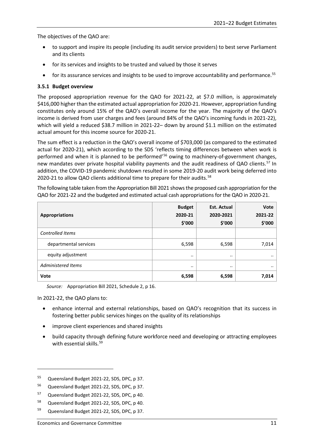The objectives of the QAO are:

- to support and inspire its people (including its audit service providers) to best serve Parliament and its clients
- for its services and insights to be trusted and valued by those it serves
- for its assurance services and insights to be used to improve accountability and performance.<sup>[55](#page-16-1)</sup>

## <span id="page-16-0"></span>**3.5.1 Budget overview**

The proposed appropriation revenue for the QAO for 2021-22, at \$7.0 million, is approximately \$416,000 higher than the estimated actual appropriation for 2020-21. However, appropriation funding constitutes only around 15% of the QAO's overall income for the year. The majority of the QAO's income is derived from user charges and fees (around 84% of the QAO's incoming funds in 2021-22), which will yield a reduced \$38.7 million in 2021-22– down by around \$1.1 million on the estimated actual amount for this income source for 2020-21.

The sum effect is a reduction in the QAO's overall income of \$703,000 (as compared to the estimated actual for 2020-21), which according to the SDS 'reflects timing differences between when work is performed and when it is planned to be performed'[56](#page-16-2) owing to machinery-of-government changes, new mandates over private hospital viability payments and the audit readiness of QAO clients.<sup>57</sup> In addition, the COVID-19 pandemic shutdown resulted in some 2019-20 audit work being deferred into 2020-21 to allow QAO clients additional time to prepare for their audits.<sup>[58](#page-16-4)</sup>

The following table taken from the Appropriation Bill 2021 showsthe proposed cash appropriation for the QAO for 2021-22 and the budgeted and estimated actual cash appropriations for the QAO in 2020-21.

| <b>Appropriations</b>   | <b>Budget</b><br>2020-21<br>\$'000 | <b>Est. Actual</b><br>2020-2021<br>\$′000 | Vote<br>2021-22<br>\$'000 |
|-------------------------|------------------------------------|-------------------------------------------|---------------------------|
| <b>Controlled Items</b> |                                    |                                           |                           |
| departmental services   | 6,598                              | 6,598                                     | 7,014                     |
| equity adjustment       |                                    | $\cdots$                                  | $\cdot \cdot$             |
| Administered Items      |                                    | $\cdot \cdot$                             | $\cdot \cdot$             |
| <b>Vote</b>             | 6,598                              | 6,598                                     | 7,014                     |

*Source:* Appropriation Bill 2021, Schedule 2, p 16.

In 2021-22, the QAO plans to:

- enhance internal and external relationships, based on QAO's recognition that its success in fostering better public services hinges on the quality of its relationships
- improve client experiences and shared insights
- build capacity through defining future workforce need and developing or attracting employees with essential skills.<sup>[59](#page-16-5)</sup>

<span id="page-16-1"></span><sup>55</sup> Queensland Budget 2021-22, SDS, DPC, p 37.

<span id="page-16-2"></span><sup>56</sup> Queensland Budget 2021-22, SDS, DPC, p 37.

<span id="page-16-3"></span><sup>57</sup> Queensland Budget 2021-22, SDS, DPC, p 40.

<span id="page-16-4"></span><sup>58</sup> Queensland Budget 2021-22, SDS, DPC, p 40.

<span id="page-16-5"></span><sup>59</sup> Queensland Budget 2021-22, SDS, DPC, p 37.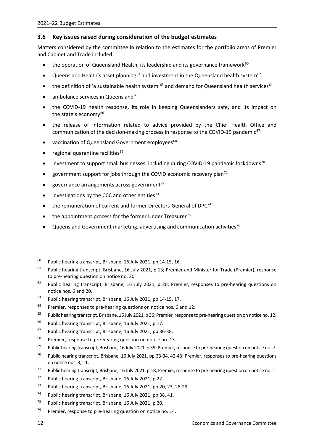## <span id="page-17-0"></span>**3.6 Key issues raised during consideration of the budget estimates**

Matters considered by the committee in relation to the estimates for the portfolio areas of Premier and Cabinet and Trade included:

- the operation of Queensland Health, its leadership and its governance framework $60$
- Queensland Health's asset planning<sup>[61](#page-17-2)</sup> and investment in the Queensland health system<sup>[62](#page-17-3)</sup>
- the definition of 'a sustainable health system'<sup>[63](#page-17-4)</sup> and demand for Queensland health services<sup>[64](#page-17-5)</sup>
- ambulance services in Queensland $65$
- the COVID-19 health response, its role in keeping Queenslanders safe, and its impact on the state's economy $^{66}$  $^{66}$  $^{66}$
- the release of information related to advice provided by the Chief Health Office and communication of the decision-making process in response to the COVID-19 pandemic<sup>[67](#page-17-8)</sup>
- vaccination of Queensland Government employees<sup>68</sup>
- regional quarantine facilities<sup>[69](#page-17-10)</sup>
- investment to support small businesses, including during COVID-19 pandemic lockdowns<sup>[70](#page-17-11)</sup>
- government support for jobs through the COVID economic recovery plan<sup>[71](#page-17-12)</sup>
- governance arrangements across government $^{72}$  $^{72}$  $^{72}$
- investigations by the CCC and other entities $73$
- the remuneration of current and former Directors-General of  $DPC<sup>74</sup>$  $DPC<sup>74</sup>$  $DPC<sup>74</sup>$
- the appointment process for the former Under Treasurer<sup>[75](#page-17-16)</sup>
- Queensland Government marketing, advertising and communication activities<sup>[76](#page-17-17)</sup>

<span id="page-17-1"></span> $60$  Public hearing transcript, Brisbane, 16 July 2021, pp 14-15, 16.

<span id="page-17-2"></span> $61$  Public hearing transcript, Brisbane, 16 July 2021, p 13; Premier and Minister for Trade (Premier), response to pre-hearing question on notice no. 20.

<span id="page-17-3"></span> $62$  Public hearing transcript, Brisbane, 16 July 2021, p 20; Premier, responses to pre-hearing questions on notice nos. 6 and 20.

<span id="page-17-4"></span><sup>&</sup>lt;sup>63</sup> Public hearing transcript, Brisbane, 16 July 2021, pp 14-15, 17.

<span id="page-17-5"></span> $64$  Premier, responses to pre-hearing questions on notice nos. 6 and 12.

<span id="page-17-6"></span><sup>&</sup>lt;sup>65</sup> Public hearing transcript, Brisbane, 16 July 2021, p 36; Premier, response to pre-hearing question on notice no. 12.

<span id="page-17-7"></span><sup>66</sup> Public hearing transcript, Brisbane, 16 July 2021, p 17.

<span id="page-17-8"></span><sup>&</sup>lt;sup>67</sup> Public hearing transcript, Brisbane, 16 July 2021, pp 36-38.

<span id="page-17-9"></span> $68$  Premier, response to pre-hearing question on notice no. 13.

<span id="page-17-10"></span> $69$  Public hearing transcript, Brisbane, 16 July 2021, p 39; Premier, response to pre-hearing question on notice no. 7.

<span id="page-17-11"></span><sup>&</sup>lt;sup>70</sup> Public hearing transcript, Brisbane, 16 July 2021, pp 33-34, 42-43; Premier, responses to pre-hearing questions on notice nos. 3, 11.

<span id="page-17-12"></span><sup>&</sup>lt;sup>71</sup> Public hearing transcript, Brisbane, 16 July 2021, p 18; Premier, response to pre-hearing question on notice no. 1.

<span id="page-17-13"></span><sup>72</sup> Public hearing transcript, Brisbane, 16 July 2021, p 22.

<span id="page-17-14"></span><sup>73</sup> Public hearing transcript, Brisbane, 16 July 2021, pp 20, 23, 28-29.

<span id="page-17-15"></span><sup>&</sup>lt;sup>74</sup> Public hearing transcript, Brisbane, 16 July 2021, pp 38, 41.

<span id="page-17-16"></span><sup>&</sup>lt;sup>75</sup> Public hearing transcript, Brisbane, 16 July 2021, p 20.

<span id="page-17-17"></span> $76$  Premier, response to pre-hearing question on notice no. 14.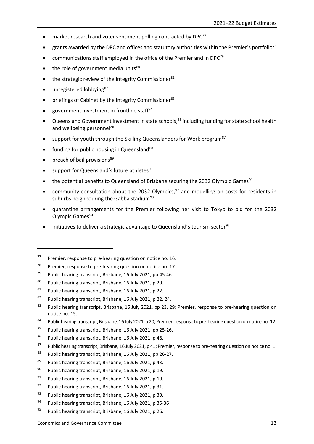- market research and voter sentiment polling contracted by  $DPC^{77}$  $DPC^{77}$  $DPC^{77}$
- grants awarded by the DPC and offices and statutory authorities within the Premier's portfolio<sup>[78](#page-18-1)</sup>
- communications staff employed in the office of the Premier and in DPC<sup>[79](#page-18-2)</sup>
- $\bullet$  the role of government media units<sup>[80](#page-18-3)</sup>
- the strategic review of the Integrity Commissioner<sup>[81](#page-18-4)</sup>
- unregistered lobbying<sup>[82](#page-18-5)</sup>
- briefings of Cabinet by the Integrity Commissioner<sup>[83](#page-18-6)</sup>
- government investment in frontline staff[84](#page-18-7)
- Queensland Government investment in state schools,<sup>[85](#page-18-8)</sup> including funding for state school health and wellbeing personnel<sup>86</sup>
- support for youth through the Skilling Queenslanders for Work program<sup>[87](#page-18-10)</sup>
- funding for public housing in Queensland<sup>[88](#page-18-11)</sup>
- breach of bail provisions<sup>[89](#page-18-12)</sup>

-

- support for Queensland's future athletes<sup>[90](#page-18-13)</sup>
- the potential benefits to Queensland of Brisbane securing the 2032 Olympic Games<sup>[91](#page-18-14)</sup>
- community consultation about the 2032 Olympics, $92$  and modelling on costs for residents in suburbs neighbouring the Gabba stadium $93$
- quarantine arrangements for the Premier following her visit to Tokyo to bid for the 2032 Olympic Games<sup>[94](#page-18-17)</sup>
- initiatives to deliver a strategic advantage to Queensland's tourism sector<sup>[95](#page-18-18)</sup>

<span id="page-18-1"></span> $78$  Premier, response to pre-hearing question on notice no. 17.

- <span id="page-18-13"></span><sup>90</sup> Public hearing transcript, Brisbane, 16 July 2021, p 19.
- <span id="page-18-14"></span><sup>91</sup> Public hearing transcript, Brisbane, 16 July 2021, p 19.
- <span id="page-18-15"></span><sup>92</sup> Public hearing transcript, Brisbane, 16 July 2021, p 31.
- <span id="page-18-16"></span>93 Public hearing transcript, Brisbane, 16 July 2021, p 30.
- <span id="page-18-17"></span><sup>94</sup> Public hearing transcript, Brisbane, 16 July 2021, p 35-36
- <span id="page-18-18"></span><sup>95</sup> Public hearing transcript, Brisbane, 16 July 2021, p 26.

<span id="page-18-0"></span> $77$  Premier, response to pre-hearing question on notice no. 16.

<span id="page-18-2"></span><sup>&</sup>lt;sup>79</sup> Public hearing transcript, Brisbane, 16 July 2021, pp 45-46.

<span id="page-18-3"></span><sup>80</sup> Public hearing transcript, Brisbane, 16 July 2021, p 29.

<span id="page-18-4"></span><sup>81</sup> Public hearing transcript, Brisbane, 16 July 2021, p 22.

<span id="page-18-5"></span><sup>82</sup> Public hearing transcript, Brisbane, 16 July 2021, p 22, 24.

<span id="page-18-6"></span><sup>&</sup>lt;sup>83</sup> Public hearing transcript, Brisbane, 16 July 2021, pp 23, 29; Premier, response to pre-hearing question on notice no. 15.

<span id="page-18-7"></span><sup>84</sup> Public hearing transcript, Brisbane, 16 July 2021, p 20; Premier, response to pre-hearing question on notice no. 12.

<span id="page-18-8"></span><sup>85</sup> Public hearing transcript, Brisbane, 16 July 2021, pp 25-26.

<span id="page-18-9"></span><sup>86</sup> Public hearing transcript, Brisbane, 16 July 2021, p 48.

<span id="page-18-10"></span><sup>&</sup>lt;sup>87</sup> Public hearing transcript, Brisbane, 16 July 2021, p 41; Premier, response to pre-hearing question on notice no. 1.

<span id="page-18-11"></span><sup>88</sup> Public hearing transcript, Brisbane, 16 July 2021, pp 26-27.

<span id="page-18-12"></span><sup>89</sup> Public hearing transcript, Brisbane, 16 July 2021, p 43.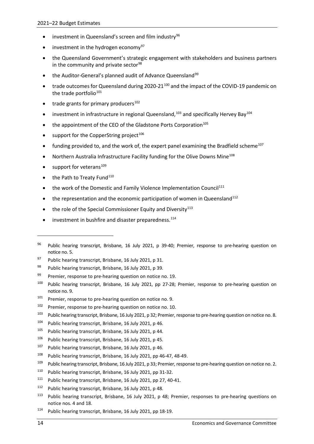- investment in Queensland's screen and film industry<sup>[96](#page-19-0)</sup>
- $\bullet$  investment in the hydrogen economy<sup>[97](#page-19-1)</sup>
- the Queensland Government's strategic engagement with stakeholders and business partners in the community and private sector $98$
- the Auditor-General's planned audit of Advance Queensland<sup>[99](#page-19-3)</sup>
- trade outcomes for Queensland during 2020-21<sup>[100](#page-19-4)</sup> and the impact of the COVID-19 pandemic on the trade portfolio<sup>[101](#page-19-5)</sup>
- trade grants for primary producers $102$
- investment in infrastructure in regional Queensland, $103$  and specifically Hervey Bay $104$
- the appointment of the CEO of the Gladstone Ports Corporation<sup>[105](#page-19-9)</sup>
- support for the CopperString project $106$
- funding provided to, and the work of, the expert panel examining the Bradfield scheme<sup>107</sup>
- Northern Australia Infrastructure Facility funding for the Olive Downs Mine<sup>[108](#page-19-12)</sup>
- support for veterans<sup>[109](#page-19-13)</sup>
- the Path to Treaty Fund<sup>[110](#page-19-14)</sup>
- the work of the Domestic and Family Violence Implementation Council<sup>[111](#page-19-15)</sup>
- $\bullet$  the representation and the economic participation of women in Queensland<sup>[112](#page-19-16)</sup>
- the role of the Special Commissioner Equity and Diversity $113$
- investment in bushfire and disaster preparedness.<sup>[114](#page-19-18)</sup>

- <span id="page-19-10"></span><sup>106</sup> Public hearing transcript, Brisbane, 16 July 2021, p 45.
- <span id="page-19-11"></span><sup>107</sup> Public hearing transcript, Brisbane, 16 July 2021, p 46.
- <span id="page-19-12"></span><sup>108</sup> Public hearing transcript, Brisbane, 16 July 2021, pp 46-47, 48-49.

- <span id="page-19-14"></span><sup>110</sup> Public hearing transcript, Brisbane, 16 July 2021, pp 31-32.
- <span id="page-19-15"></span> $111$  Public hearing transcript, Brisbane, 16 July 2021, pp 27, 40-41.
- <span id="page-19-16"></span><sup>112</sup> Public hearing transcript, Brisbane, 16 July 2021, p 48.
- <span id="page-19-17"></span><sup>113</sup> Public hearing transcript, Brisbane, 16 July 2021, p 48; Premier, responses to pre-hearing questions on notice nos. 4 and 18.
- <span id="page-19-18"></span><sup>114</sup> Public hearing transcript, Brisbane, 16 July 2021, pp 18-19.

-

<span id="page-19-0"></span><sup>&</sup>lt;sup>96</sup> Public hearing transcript, Brisbane, 16 July 2021, p 39-40; Premier, response to pre-hearing question on notice no. 5.

<span id="page-19-1"></span><sup>97</sup> Public hearing transcript, Brisbane, 16 July 2021, p 31.

<span id="page-19-2"></span><sup>98</sup> Public hearing transcript, Brisbane, 16 July 2021, p 39.

<span id="page-19-3"></span> $99$  Premier, response to pre-hearing question on notice no. 19.

<span id="page-19-4"></span><sup>100</sup> Public hearing transcript, Brisbane, 16 July 2021, pp 27-28; Premier, response to pre-hearing question on notice no. 9.

<span id="page-19-5"></span> $101$  Premier, response to pre-hearing question on notice no. 9.

<span id="page-19-6"></span> $102$  Premier, response to pre-hearing question on notice no. 10.

<span id="page-19-7"></span><sup>&</sup>lt;sup>103</sup> Public hearing transcript, Brisbane, 16 July 2021, p 32; Premier, response to pre-hearing question on notice no. 8.

<span id="page-19-8"></span><sup>104</sup> Public hearing transcript, Brisbane, 16 July 2021, p 46.

<span id="page-19-9"></span><sup>&</sup>lt;sup>105</sup> Public hearing transcript, Brisbane, 16 July 2021, p 44.

<span id="page-19-13"></span><sup>&</sup>lt;sup>109</sup> Public hearing transcript, Brisbane, 16 July 2021, p 33; Premier, response to pre-hearing question on notice no. 2.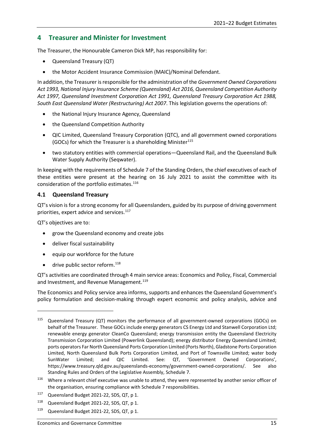# <span id="page-20-0"></span>**4 Treasurer and Minister for Investment**

The Treasurer, the Honourable Cameron Dick MP, has responsibility for:

- Queensland Treasury (QT)
- the Motor Accident Insurance Commission (MAIC)/Nominal Defendant.

In addition, the Treasurer is responsible for the administration of the *Government Owned Corporations Act 1993, National Injury Insurance Scheme (Queensland) Act 2016, Queensland Competition Authority Act 1997, Queensland Investment Corporation Act 1991, Queensland Treasury Corporation Act 1988, South East Queensland Water (Restructuring) Act 2007*. This legislation governs the operations of:

- the National Injury Insurance Agency, Queensland
- the Queensland Competition Authority
- QIC Limited, Queensland Treasury Corporation (QTC), and all government owned corporations (GOCs) for which the Treasurer is a shareholding Minister<sup>[115](#page-20-2)</sup>
- two statutory entities with commercial operations—Queensland Rail, and the Queensland Bulk Water Supply Authority (Seqwater).

In keeping with the requirements of Schedule 7 of the Standing Orders, the chief executives of each of these entities were present at the hearing on 16 July 2021 to assist the committee with its consideration of the portfolio estimates.<sup>[116](#page-20-3)</sup>

## <span id="page-20-1"></span>**4.1 Queensland Treasury**

QT's vision is for a strong economy for all Queenslanders, guided by its purpose of driving government priorities, expert advice and services.<sup>[117](#page-20-4)</sup>

QT's objectives are to:

**.** 

- grow the Queensland economy and create jobs
- deliver fiscal sustainability
- equip our workforce for the future
- $\bullet$  drive public sector reform.<sup>118</sup>

QT's activities are coordinated through 4 main service areas: Economics and Policy, Fiscal, Commercial and Investment, and Revenue Management.<sup>[119](#page-20-6)</sup>

The Economics and Policy service area informs, supports and enhances the Queensland Government's policy formulation and decision-making through expert economic and policy analysis, advice and

<span id="page-20-2"></span><sup>&</sup>lt;sup>115</sup> Queensland Treasury (QT) monitors the performance of all government-owned corporations (GOCs) on behalf of the Treasurer. These GOCs include energy generators CS Energy Ltd and Stanwell Corporation Ltd; renewable energy generator CleanCo Queensland; energy transmission entity the Queensland Electricity Transmission Corporation Limited (Powerlink Queensland); energy distributor Energy Queensland Limited; ports operators Far North Queensland Ports Corporation Limited (Ports North), Gladstone Ports Corporation Limited, North Queensland Bulk Ports Corporation Limited, and Port of Townsville Limited; water body SunWater Limited; and QIC Limited. See: QT, 'Government Owned Corporations', https://www.treasury.qld.gov.au/queenslands-economy/government-owned-corporations/. See also Standing Rules and Orders of the Legislative Assembly, Schedule 7.

<span id="page-20-3"></span><sup>&</sup>lt;sup>116</sup> Where a relevant chief executive was unable to attend, they were represented by another senior officer of the organisation, ensuring compliance with Schedule 7 responsibilities.

<span id="page-20-4"></span><sup>&</sup>lt;sup>117</sup> Queensland Budget 2021-22, SDS, QT, p 1.

<span id="page-20-5"></span><sup>118</sup> Queensland Budget 2021-22, SDS, QT, p 1.

<span id="page-20-6"></span><sup>119</sup> Queensland Budget 2021-22, SDS, QT, p 1.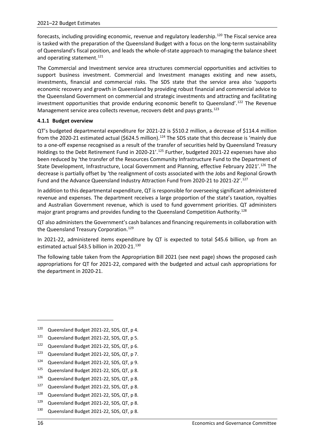forecasts, including providing economic, revenue and regulatory leadership.[120](#page-21-1) The Fiscal service area is tasked with the preparation of the Queensland Budget with a focus on the long-term sustainability of Queensland's fiscal position, and leads the whole-of-state approach to managing the balance sheet and operating statement.<sup>[121](#page-21-2)</sup>

The Commercial and Investment service area structures commercial opportunities and activities to support business investment. Commercial and Investment manages existing and new assets, investments, financial and commercial risks. The SDS state that the service area also 'supports economic recovery and growth in Queensland by providing robust financial and commercial advice to the Queensland Government on commercial and strategic investments and attracting and facilitating investment opportunities that provide enduring economic benefit to Queensland'.<sup>122</sup> The Revenue Management service area collects revenue, recovers debt and pays grants.<sup>[123](#page-21-4)</sup>

## <span id="page-21-0"></span>**4.1.1 Budget overview**

QT's budgeted departmental expenditure for 2021-22 is \$510.2 million, a decrease of \$114.4 million from the 2020-21 estimated actual (\$624.5 million).<sup>[124](#page-21-5)</sup> The SDS state that this decrease is 'mainly due to a one-off expense recognised as a result of the transfer of securities held by Queensland Treasury Holdings to the Debt Retirement Fund in 2020-21'.<sup>[125](#page-21-6)</sup> Further, budgeted 2021-22 expenses have also been reduced by 'the transfer of the Resources Community Infrastructure Fund to the Department of State Development, Infrastructure, Local Government and Planning, effective February 2021'.<sup>[126](#page-21-7)</sup> The decrease is partially offset by 'the realignment of costs associated with the Jobs and Regional Growth Fund and the Advance Queensland Industry Attraction Fund from 2020-21 to 2021-22'.[127](#page-21-8)

In addition to this departmental expenditure, QT is responsible for overseeing significant administered revenue and expenses. The department receives a large proportion of the state's taxation, royalties and Australian Government revenue, which is used to fund government priorities. QT administers major grant programs and provides funding to the Queensland Competition Authority.<sup>[128](#page-21-9)</sup>

QT also administers the Government's cash balances and financing requirements in collaboration with the Queensland Treasury Corporation.<sup>[129](#page-21-10)</sup>

In 2021-22, administered items expenditure by QT is expected to total \$45.6 billion, up from an estimated actual \$43.5 billion in 2020-21[.130](#page-21-11)

The following table taken from the Appropriation Bill 2021 (see next page) shows the proposed cash appropriations for QT for 2021-22, compared with the budgeted and actual cash appropriations for the department in 2020-21.

- <span id="page-21-3"></span>122 Queensland Budget 2021-22, SDS, QT, p 6.
- <span id="page-21-4"></span>123 Queensland Budget 2021-22, SDS, QT, p 7.
- <span id="page-21-5"></span>124 Queensland Budget 2021-22, SDS, QT, p 9.
- <span id="page-21-6"></span>125 Queensland Budget 2021-22, SDS, QT, p 8.
- <span id="page-21-7"></span>126 Queensland Budget 2021-22, SDS, QT, p 8.
- <span id="page-21-8"></span>127 Queensland Budget 2021-22, SDS, QT, p 8.
- <span id="page-21-9"></span><sup>128</sup> Queensland Budget 2021-22, SDS, QT, p 8.
- <span id="page-21-10"></span>129 Queensland Budget 2021-22, SDS, QT, p 8.
- <span id="page-21-11"></span>130 Queensland Budget 2021-22, SDS, QT, p 8.

1

<span id="page-21-1"></span><sup>120</sup> Queensland Budget 2021-22, SDS, QT, p 4.

<span id="page-21-2"></span><sup>121</sup> Queensland Budget 2021-22, SDS, QT, p 5.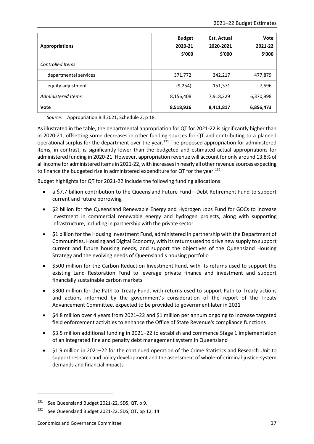| <b>Appropriations</b>   | <b>Budget</b><br>2020-21<br>\$'000 | <b>Est. Actual</b><br>2020-2021<br>\$'000 | Vote<br>2021-22<br>\$'000 |
|-------------------------|------------------------------------|-------------------------------------------|---------------------------|
| <b>Controlled Items</b> |                                    |                                           |                           |
| departmental services   | 371,772                            | 342,217                                   | 477,879                   |
| equity adjustment       | (9, 254)                           | 151,371                                   | 7,596                     |
| Administered Items      | 8,156,408                          | 7,918,229                                 | 6,370,998                 |
| Vote                    | 8,518,926                          | 8,411,817                                 | 6,856,473                 |

*Source*: Appropriation Bill 2021, Schedule 2, p 18.

As illustrated in the table, the departmental appropriation for QT for 2021-22 is significantly higher than in 2020-21, offsetting some decreases in other funding sources for QT and contributing to a planned operational surplus for the department over the year.<sup>[131](#page-22-0)</sup> The proposed appropriation for administered items, in contrast, is significantly lower than the budgeted and estimated actual appropriations for administered funding in 2020-21. However, appropriation revenue will account for only around 13.8% of all income for administered items in 2021-22, with increases in nearly all other revenue sources expecting to finance the budgeted rise in administered expenditure for QT for the year.<sup>[132](#page-22-1)</sup>

Budget highlights for QT for 2021-22 include the following funding allocations:

- a \$7.7 billion contribution to the Queensland Future Fund—Debt Retirement Fund to support current and future borrowing
- \$2 billion for the Queensland Renewable Energy and Hydrogen Jobs Fund for GOCs to increase investment in commercial renewable energy and hydrogen projects, along with supporting infrastructure, including in partnership with the private sector
- \$1 billion for the Housing Investment Fund, administered in partnership with the Department of Communities, Housing and Digital Economy, with its returns used to drive new supply to support current and future housing needs, and support the objectives of the Queensland Housing Strategy and the evolving needs of Queensland's housing portfolio
- \$500 million for the Carbon Reduction Investment Fund, with its returns used to support the existing Land Restoration Fund to leverage private finance and investment and support financially sustainable carbon markets
- \$300 million for the Path to Treaty Fund, with returns used to support Path to Treaty actions and actions informed by the government's consideration of the report of the Treaty Advancement Committee, expected to be provided to government later in 2021
- \$4.8 million over 4 years from 2021–22 and \$1 million per annum ongoing to increase targeted field enforcement activities to enhance the Office of State Revenue's compliance functions
- \$3.5 million additional funding in 2021–22 to establish and commence Stage 1 implementation of an integrated fine and penalty debt management system in Queensland
- \$1.9 million in 2021–22 for the continued operation of the Crime Statistics and Research Unit to support research and policy development and the assessment of whole-of-criminal-justice-system demands and financial impacts

 $\overline{a}$ 

<span id="page-22-0"></span><sup>&</sup>lt;sup>131</sup> See Queensland Budget 2021-22, SDS, QT, p 9.

<span id="page-22-1"></span><sup>&</sup>lt;sup>132</sup> See Queensland Budget 2021-22, SDS, QT, pp 12, 14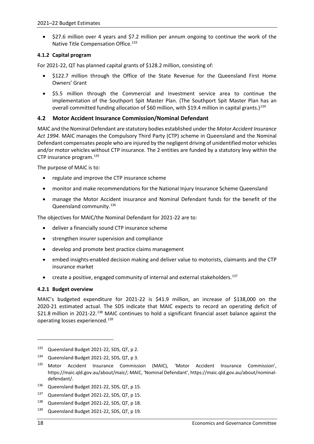• \$27.6 million over 4 years and \$7.2 million per annum ongoing to continue the work of the Native Title Compensation Office.<sup>[133](#page-23-3)</sup>

## <span id="page-23-0"></span>**4.1.2 Capital program**

For 2021-22, QT has planned capital grants of \$128.2 million, consisting of:

- \$122.7 million through the Office of the State Revenue for the Queensland First Home Owners' Grant
- \$5.5 million through the Commercial and Investment service area to continue the implementation of the Southport Spit Master Plan. (The Southport Spit Master Plan has an overall committed funding allocation of \$60 million, with \$19.4 million in capital grants.)<sup>[134](#page-23-4)</sup>

## <span id="page-23-1"></span>**4.2 Motor Accident Insurance Commission/Nominal Defendant**

MAIC and the Nominal Defendant are statutory bodies established under the *Motor Accident Insurance Act 1994*. MAIC manages the Compulsory Third Party (CTP) scheme in Queensland and the Nominal Defendant compensates people who are injured by the negligent driving of unidentified motor vehicles and/or motor vehicles without CTP insurance. The 2 entities are funded by a statutory levy within the CTP insurance program.<sup>[135](#page-23-5)</sup>

The purpose of MAIC is to:

- regulate and improve the CTP insurance scheme
- monitor and make recommendations for the National Injury Insurance Scheme Queensland
- manage the Motor Accident Insurance and Nominal Defendant funds for the benefit of the Queensland community.<sup>[136](#page-23-6)</sup>

The objectives for MAIC/the Nominal Defendant for 2021-22 are to:

- deliver a financially sound CTP insurance scheme
- strengthen insurer supervision and compliance
- develop and promote best practice claims management
- embed insights-enabled decision making and deliver value to motorists, claimants and the CTP insurance market
- create a positive, engaged community of internal and external stakeholders.[137](#page-23-7)

## <span id="page-23-2"></span>**4.2.1 Budget overview**

MAIC's budgeted expenditure for 2021-22 is \$41.9 million, an increase of \$138,000 on the 2020-21 estimated actual. The SDS indicate that MAIC expects to record an operating deficit of \$21.8 million in 2021-22.<sup>[138](#page-23-8)</sup> MAIC continues to hold a significant financial asset balance against the operating losses experienced.[139](#page-23-9)

 $\overline{a}$ 

<span id="page-23-3"></span><sup>133</sup> Queensland Budget 2021-22, SDS, QT, p 2.

<span id="page-23-4"></span><sup>134</sup> Queensland Budget 2021-22, SDS, QT, p 3.

<span id="page-23-5"></span><sup>135</sup> Motor Accident Insurance Commission (MAIC), 'Motor Accident Insurance Commission', https://maic.qld.gov.au/about/maic/; MAIC, 'Nominal Defendant', https://maic.qld.gov.au/about/nominaldefendant/.

<span id="page-23-6"></span><sup>136</sup> Queensland Budget 2021-22, SDS, QT, p 15.

<span id="page-23-7"></span><sup>137</sup> Queensland Budget 2021-22, SDS, QT, p 15.

<span id="page-23-8"></span><sup>138</sup> Queensland Budget 2021-22, SDS, QT, p 18.

<span id="page-23-9"></span><sup>139</sup> Queensland Budget 2021-22, SDS, QT, p 19.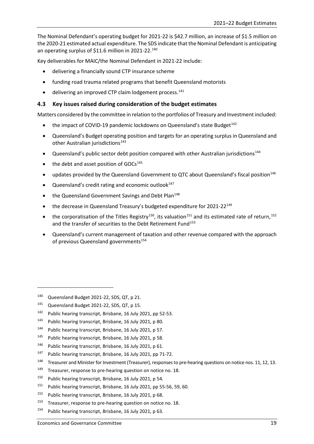The Nominal Defendant's operating budget for 2021-22 is \$42.7 million, an increase of \$1.5 million on the 2020-21 estimated actual expenditure. The SDS indicate that the Nominal Defendant is anticipating an operating surplus of \$11.6 million in 2021-22.<sup>[140](#page-24-1)</sup>

Key deliverables for MAIC/the Nominal Defendant in 2021-22 include:

- delivering a financially sound CTP insurance scheme
- funding road trauma related programs that benefit Queensland motorists
- delivering an improved CTP claim lodgement process.<sup>[141](#page-24-2)</sup>

## <span id="page-24-0"></span>**4.3 Key issues raised during consideration of the budget estimates**

Matters considered by the committee in relation to the portfolios of Treasury and Investment included:

- the impact of COVID-19 pandemic lockdowns on Queensland's state Budget<sup>142</sup>
- Queensland's Budget operating position and targets for an operating surplus in Queensland and other Australian jurisdictions<sup>[143](#page-24-4)</sup>
- Queensland's public sector debt position compared with other Australian jurisdictions[144](#page-24-5)
- the debt and asset position of GOCs<sup>[145](#page-24-6)</sup>
- updates provided by the Queensland Government to QTC about Queensland's fiscal position<sup>[146](#page-24-7)</sup>
- Queensland's credit rating and economic outlook<sup>[147](#page-24-8)</sup>
- the Queensland Government Savings and Debt Plan<sup>148</sup>
- the decrease in Queensland Treasury's budgeted expenditure for 2021-22<sup>[149](#page-24-10)</sup>
- the corporatisation of the Titles Registry<sup>150</sup>, its valuation<sup>[151](#page-24-12)</sup> and its estimated rate of return,<sup>[152](#page-24-13)</sup> and the transfer of securities to the Debt Retirement Fund<sup>[153](#page-24-14)</sup>
- Queensland's current management of taxation and other revenue compared with the approach of previous Queensland governments<sup>154</sup>

-

- <span id="page-24-8"></span><sup>147</sup> Public hearing transcript, Brisbane, 16 July 2021, pp 71-72.
- <span id="page-24-9"></span><sup>148</sup> Treasurer and Minister for Investment (Treasurer), responses to pre-hearing questions on notice nos. 11, 12, 13.
- <span id="page-24-10"></span><sup>149</sup> Treasurer, response to pre-hearing question on notice no. 18.
- <span id="page-24-11"></span><sup>150</sup> Public hearing transcript, Brisbane, 16 July 2021, p 54.
- <span id="page-24-12"></span><sup>151</sup> Public hearing transcript, Brisbane, 16 July 2021, pp 55-56, 59, 60.
- <span id="page-24-13"></span><sup>152</sup> Public hearing transcript, Brisbane, 16 July 2021, p 68.
- <span id="page-24-14"></span><sup>153</sup> Treasurer, response to pre-hearing question on notice no. 18.
- <span id="page-24-15"></span><sup>154</sup> Public hearing transcript, Brisbane, 16 July 2021, p 63.

<span id="page-24-1"></span><sup>140</sup> Queensland Budget 2021-22, SDS, QT, p 21.

<span id="page-24-2"></span><sup>141</sup> Queensland Budget 2021-22, SDS, QT, p 15.

<span id="page-24-3"></span><sup>142</sup> Public hearing transcript, Brisbane, 16 July 2021, pp 52-53.

<span id="page-24-4"></span><sup>143</sup> Public hearing transcript, Brisbane, 16 July 2021, p 80.

<span id="page-24-5"></span><sup>144</sup> Public hearing transcript, Brisbane, 16 July 2021, p 57.

<span id="page-24-6"></span><sup>&</sup>lt;sup>145</sup> Public hearing transcript, Brisbane, 16 July 2021, p 58.

<span id="page-24-7"></span><sup>146</sup> Public hearing transcript, Brisbane, 16 July 2021, p 61.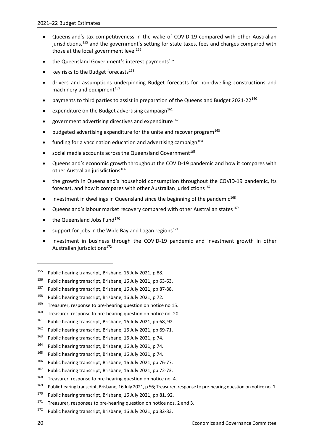- Queensland's tax competitiveness in the wake of COVID-19 compared with other Australian jurisdictions,<sup>[155](#page-25-0)</sup> and the government's setting for state taxes, fees and charges compared with those at the local government level<sup>[156](#page-25-1)</sup>
- the Queensland Government's interest payments<sup>[157](#page-25-2)</sup>
- key risks to the Budget forecasts<sup>[158](#page-25-3)</sup>
- drivers and assumptions underpinning Budget forecasts for non-dwelling constructions and machinery and equipment<sup>[159](#page-25-4)</sup>
- payments to third parties to assist in preparation of the Queensland Budget 2021-22<sup>[160](#page-25-5)</sup>
- expenditure on the Budget advertising campaign $161$
- government advertising directives and expenditure<sup>[162](#page-25-7)</sup>
- budgeted advertising expenditure for the unite and recover program $^{163}$  $^{163}$  $^{163}$
- funding for a vaccination education and advertising campaign $164$
- social media accounts across the Queensland Government<sup>[165](#page-25-10)</sup>
- Queensland's economic growth throughout the COVID-19 pandemic and how it compares with other Australian jurisdictions<sup>[166](#page-25-11)</sup>
- the growth in Queensland's household consumption throughout the COVID-19 pandemic, its forecast, and how it compares with other Australian jurisdictions $167$
- investment in dwellings in Queensland since the beginning of the pandemic<sup>[168](#page-25-13)</sup>
- Queensland's labour market recovery compared with other Australian states<sup>[169](#page-25-14)</sup>
- the Queensland Jobs Fund<sup>170</sup>
- support for jobs in the Wide Bay and Logan regions $171$
- investment in business through the COVID-19 pandemic and investment growth in other Australian jurisdictions<sup>[172](#page-25-17)</sup>

- <span id="page-25-7"></span><sup>162</sup> Public hearing transcript, Brisbane, 16 July 2021, pp 69-71.
- <span id="page-25-8"></span><sup>163</sup> Public hearing transcript, Brisbane, 16 July 2021, p 74.
- <span id="page-25-9"></span><sup>164</sup> Public hearing transcript, Brisbane, 16 July 2021, p 74.
- <span id="page-25-10"></span><sup>165</sup> Public hearing transcript, Brisbane, 16 July 2021, p 74.
- <span id="page-25-11"></span><sup>166</sup> Public hearing transcript, Brisbane, 16 July 2021, pp 76-77.
- <span id="page-25-12"></span><sup>167</sup> Public hearing transcript, Brisbane, 16 July 2021, pp 72-73.
- <span id="page-25-13"></span><sup>168</sup> Treasurer, response to pre-hearing question on notice no. 4.
- <span id="page-25-14"></span><sup>169</sup> Public hearing transcript, Brisbane, 16 July 2021, p 56; Treasurer, response to pre-hearing question on notice no. 1.
- <span id="page-25-15"></span><sup>170</sup> Public hearing transcript, Brisbane, 16 July 2021, pp 81, 92.
- <span id="page-25-16"></span> $171$  Treasurer, responses to pre-hearing question on notice nos. 2 and 3.
- <span id="page-25-17"></span><sup>172</sup> Public hearing transcript, Brisbane, 16 July 2021, pp 82-83.

-

<span id="page-25-0"></span><sup>155</sup> Public hearing transcript, Brisbane, 16 July 2021, p 88.

<span id="page-25-1"></span><sup>156</sup> Public hearing transcript, Brisbane, 16 July 2021, pp 63-63.

<span id="page-25-2"></span><sup>157</sup> Public hearing transcript, Brisbane, 16 July 2021, pp 87-88.

<span id="page-25-3"></span><sup>158</sup> Public hearing transcript, Brisbane, 16 July 2021, p 72.

<span id="page-25-4"></span><sup>&</sup>lt;sup>159</sup> Treasurer, response to pre-hearing question on notice no 15.

<span id="page-25-5"></span><sup>&</sup>lt;sup>160</sup> Treasurer, response to pre-hearing question on notice no. 20.

<span id="page-25-6"></span><sup>161</sup> Public hearing transcript, Brisbane, 16 July 2021, pp 68, 92.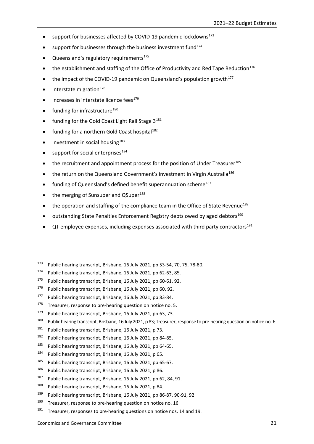- support for businesses affected by COVID-19 pandemic lockdowns<sup>[173](#page-26-0)</sup>
- support for businesses through the business investment fund $174$
- Queensland's regulatory requirements<sup>175</sup>
- the establishment and staffing of the Office of Productivity and Red Tape Reduction<sup>[176](#page-26-3)</sup>
- the impact of the COVID-19 pandemic on Queensland's population growth<sup>177</sup>
- interstate migration $178$
- increases in interstate licence fees<sup>[179](#page-26-6)</sup>
- funding for infrastructure<sup>[180](#page-26-7)</sup>
- funding for the Gold Coast Light Rail Stage  $3^{181}$  $3^{181}$  $3^{181}$
- funding for a northern Gold Coast hospital<sup>[182](#page-26-9)</sup>
- investment in social housing $183$
- $\bullet$  support for social enterprises<sup>[184](#page-26-11)</sup>

1

- the recruitment and appointment process for the position of Under Treasurer<sup>[185](#page-26-12)</sup>
- the return on the Queensland Government's investment in Virgin Australia<sup>[186](#page-26-13)</sup>
- funding of Queensland's defined benefit superannuation scheme<sup>[187](#page-26-14)</sup>
- the merging of Sunsuper and QSuper<sup>[188](#page-26-15)</sup>
- $\bullet$  the operation and staffing of the compliance team in the Office of State Revenue<sup>[189](#page-26-16)</sup>
- outstanding State Penalties Enforcement Registry debts owed by aged debtors<sup>[190](#page-26-17)</sup>
- $QT$  employee expenses, including expenses associated with third party contractors<sup>[191](#page-26-18)</sup>

- <span id="page-26-9"></span><sup>182</sup> Public hearing transcript, Brisbane, 16 July 2021, pp 84-85.
- <span id="page-26-10"></span><sup>183</sup> Public hearing transcript, Brisbane, 16 July 2021, pp 64-65.
- <span id="page-26-11"></span><sup>184</sup> Public hearing transcript, Brisbane, 16 July 2021, p 65.
- <span id="page-26-12"></span><sup>185</sup> Public hearing transcript, Brisbane, 16 July 2021, pp 65-67.
- <span id="page-26-13"></span><sup>186</sup> Public hearing transcript, Brisbane, 16 July 2021, p 86.
- <span id="page-26-14"></span><sup>187</sup> Public hearing transcript, Brisbane, 16 July 2021, pp 62, 84, 91.
- <span id="page-26-15"></span><sup>188</sup> Public hearing transcript, Brisbane, 16 July 2021, p 84.
- <span id="page-26-16"></span><sup>189</sup> Public hearing transcript, Brisbane, 16 July 2021, pp 86-87, 90-91, 92.
- <span id="page-26-17"></span> $190$  Treasurer, response to pre-hearing question on notice no. 16.
- <span id="page-26-18"></span> $191$  Treasurer, responses to pre-hearing questions on notice nos. 14 and 19.

<span id="page-26-0"></span><sup>173</sup> Public hearing transcript, Brisbane, 16 July 2021, pp 53-54, 70, 75, 78-80.

<span id="page-26-1"></span><sup>174</sup> Public hearing transcript, Brisbane, 16 July 2021, pp 62-63, 85.

<span id="page-26-2"></span><sup>175</sup> Public hearing transcript, Brisbane, 16 July 2021, pp 60-61, 92.

<span id="page-26-3"></span><sup>176</sup> Public hearing transcript, Brisbane, 16 July 2021, pp 60, 92.

<span id="page-26-4"></span><sup>177</sup> Public hearing transcript, Brisbane, 16 July 2021, pp 83-84.

<span id="page-26-5"></span> $178$  Treasurer, response to pre-hearing question on notice no. 5.

<span id="page-26-6"></span><sup>&</sup>lt;sup>179</sup> Public hearing transcript, Brisbane, 16 July 2021, pp 63, 73.

<span id="page-26-7"></span><sup>&</sup>lt;sup>180</sup> Public hearing transcript, Brisbane, 16 July 2021, p 83; Treasurer, response to pre-hearing question on notice no. 6.

<span id="page-26-8"></span><sup>181</sup> Public hearing transcript, Brisbane, 16 July 2021, p 73.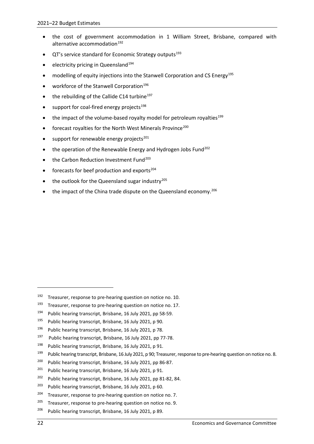- the cost of government accommodation in 1 William Street, Brisbane, compared with alternative accommodation<sup>[192](#page-27-0)</sup>
- QT's service standard for Economic Strategy outputs<sup>[193](#page-27-1)</sup>
- electricity pricing in Queensland<sup>[194](#page-27-2)</sup>
- modelling of equity injections into the Stanwell Corporation and CS Energy<sup>[195](#page-27-3)</sup>
- workforce of the Stanwell Corporation<sup>[196](#page-27-4)</sup>
- the rebuilding of the Callide C14 turbine<sup>[197](#page-27-5)</sup>
- support for coal-fired energy projects<sup>[198](#page-27-6)</sup>
- the impact of the volume-based royalty model for petroleum royalties<sup>[199](#page-27-7)</sup>
- forecast royalties for the North West Minerals Province<sup>[200](#page-27-8)</sup>
- support for renewable energy projects<sup>[201](#page-27-9)</sup>
- the operation of the Renewable Energy and Hydrogen Jobs Fund<sup>[202](#page-27-10)</sup>
- the Carbon Reduction Investment Fund<sup>[203](#page-27-11)</sup>
- forecasts for beef production and exports $204$
- the outlook for the Queensland sugar industry $^{205}$  $^{205}$  $^{205}$
- $\bullet$  the impact of the China trade dispute on the Queensland economy.<sup>[206](#page-27-14)</sup>

<span id="page-27-1"></span> $193$  Treasurer, response to pre-hearing question on notice no. 17.

<span id="page-27-12"></span> $204$  Treasurer, response to pre-hearing question on notice no. 7.

-

<span id="page-27-0"></span> $192$  Treasurer, response to pre-hearing question on notice no. 10.

<span id="page-27-2"></span><sup>194</sup> Public hearing transcript, Brisbane, 16 July 2021, pp 58-59.

<span id="page-27-3"></span><sup>195</sup> Public hearing transcript, Brisbane, 16 July 2021, p 90.

<span id="page-27-4"></span><sup>196</sup> Public hearing transcript, Brisbane, 16 July 2021, p 78.

<span id="page-27-5"></span><sup>&</sup>lt;sup>197</sup> Public hearing transcript, Brisbane, 16 July 2021, pp 77-78.

<span id="page-27-6"></span><sup>198</sup> Public hearing transcript, Brisbane, 16 July 2021, p 91.

<span id="page-27-7"></span><sup>&</sup>lt;sup>199</sup> Public hearing transcript, Brisbane, 16 July 2021, p 90; Treasurer, response to pre-hearing question on notice no. 8.

<span id="page-27-8"></span><sup>200</sup> Public hearing transcript, Brisbane, 16 July 2021, pp 86-87.

<span id="page-27-9"></span><sup>&</sup>lt;sup>201</sup> Public hearing transcript, Brisbane, 16 July 2021, p 91.

<span id="page-27-10"></span><sup>202</sup> Public hearing transcript, Brisbane, 16 July 2021, pp 81-82, 84.

<span id="page-27-11"></span><sup>203</sup> Public hearing transcript, Brisbane, 16 July 2021, p 60.

<span id="page-27-13"></span> $205$  Treasurer, response to pre-hearing question on notice no. 9.

<span id="page-27-14"></span><sup>&</sup>lt;sup>206</sup> Public hearing transcript, Brisbane, 16 July 2021, p 89.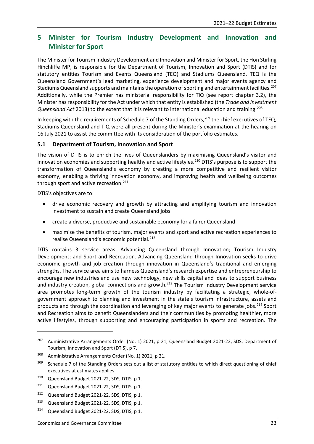# <span id="page-28-0"></span>**5 Minister for Tourism Industry Development and Innovation and Minister for Sport**

The Minister for Tourism Industry Development and Innovation and Minister for Sport, the Hon Stirling Hinchliffe MP, is responsible for the Department of Tourism, Innovation and Sport (DTIS) and for statutory entities Tourism and Events Queensland (TEQ) and Stadiums Queensland. TEQ is the Queensland Government's lead marketing, experience development and major events agency and Stadiums Queensland supports and maintains the operation of sporting and entertainment facilities. [207](#page-28-2) Additionally, while the Premier has ministerial responsibility for TIQ (see report chapter 3.2), the Minister has responsibility for the Act under which that entity is established (the *Trade and Investment Queensland Act* 2013) to the extent that it is relevant to international education and training.[208](#page-28-3)

In keeping with the requirements of Schedule 7 of the Standing Orders,<sup>[209](#page-28-4)</sup> the chief executives of TEQ, Stadiums Queensland and TIQ were all present during the Minister's examination at the hearing on 16 July 2021 to assist the committee with its consideration of the portfolio estimates.

## <span id="page-28-1"></span>**5.1 Department of Tourism, Innovation and Sport**

The vision of DTIS is to enrich the lives of Queenslanders by maximising Queensland's visitor and innovation economies and supporting healthy and active lifestyles.<sup>[210](#page-28-5)</sup> DTIS's purpose is to support the transformation of Queensland's economy by creating a more competitive and resilient visitor economy, enabling a thriving innovation economy, and improving health and wellbeing outcomes through sport and active recreation.<sup>[211](#page-28-6)</sup>

DTIS's objectives are to:

**.** 

- drive economic recovery and growth by attracting and amplifying tourism and innovation investment to sustain and create Queensland jobs
- create a diverse, productive and sustainable economy for a fairer Queensland
- maximise the benefits of tourism, major events and sport and active recreation experiences to realise Queensland's economic potential.<sup>[212](#page-28-7)</sup>

DTIS contains 3 service areas: Advancing Queensland through Innovation; Tourism Industry Development; and Sport and Recreation. Advancing Queensland through Innovation seeks to drive economic growth and job creation through innovation in Queensland's traditional and emerging strengths. The service area aims to harness Queensland's research expertise and entrepreneurship to encourage new industries and use new technology, new skills capital and ideas to support business and industry creation, global connections and growth.<sup>213</sup> The Tourism Industry Development service area promotes long-term growth of the tourism industry by facilitating a strategic, whole-ofgovernment approach to planning and investment in the state's tourism infrastructure, assets and products and through the coordination and leveraging of key major events to generate jobs.<sup>[214](#page-28-9)</sup> Sport and Recreation aims to benefit Queenslanders and their communities by promoting healthier, more active lifestyles, through supporting and encouraging participation in sports and recreation. The

<span id="page-28-2"></span><sup>&</sup>lt;sup>207</sup> Administrative Arrangements Order (No. 1) 2021, p 21; Queensland Budget 2021-22, SDS, Department of Tourism, Innovation and Sport (DTIS), p 7.

<span id="page-28-3"></span><sup>208</sup> Administrative Arrangements Order (No. 1) 2021, p 21.

<span id="page-28-4"></span><sup>&</sup>lt;sup>209</sup> Schedule 7 of the Standing Orders sets out a list of statutory entities to which direct questioning of chief executives at estimates applies.

<span id="page-28-5"></span><sup>&</sup>lt;sup>210</sup> Queensland Budget 2021-22, SDS, DTIS, p 1.

<span id="page-28-6"></span><sup>&</sup>lt;sup>211</sup> Queensland Budget 2021-22, SDS, DTIS, p 1.

<span id="page-28-7"></span><sup>&</sup>lt;sup>212</sup> Queensland Budget 2021-22, SDS, DTIS, p 1.

<span id="page-28-8"></span><sup>&</sup>lt;sup>213</sup> Queensland Budget 2021-22, SDS, DTIS, p 1.

<span id="page-28-9"></span><sup>&</sup>lt;sup>214</sup> Queensland Budget 2021-22, SDS, DTIS, p 1.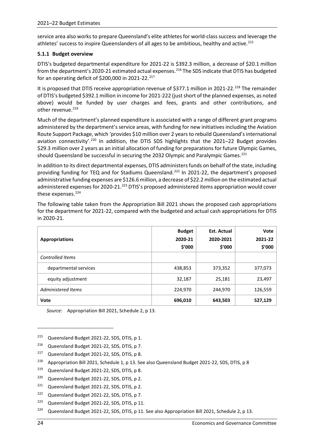service area also works to prepare Queensland's elite athletes for world-class success and leverage the athletes' success to inspire Queenslanders of all ages to be ambitious, healthy and active.<sup>[215](#page-29-1)</sup>

## <span id="page-29-0"></span>**5.1.1 Budget overview**

DTIS's budgeted departmental expenditure for 2021-22 is \$392.3 million, a decrease of \$20.1 million from the department's 2020-21 estimated actual expenses.<sup>[216](#page-29-2)</sup> The SDS indicate that DTIS has budgeted for an operating deficit of \$200,000 in 2021-22.<sup>[217](#page-29-3)</sup>

It is proposed that DTIS receive appropriation revenue of \$377.1 million in 2021-22.<sup>[218](#page-29-4)</sup> The remainder of DTIS's budgeted \$392.1 million in income for 2021-222 (just short of the planned expenses, as noted above) would be funded by user charges and fees, grants and other contributions, and other revenue. $219$ 

Much of the department's planned expenditure is associated with a range of different grant programs administered by the department's service areas, with funding for new initiatives including the Aviation Route Support Package, which 'provides \$10 million over 2 years to rebuild Queensland's international aviation connectivity'.<sup>[220](#page-29-6)</sup> In addition, the DTIS SDS highlights that the 2021-22 Budget provides \$29.3 million over 2 years as an initial allocation of funding for preparations for future Olympic Games, should Queensland be successful in securing the 2032 Olympic and Paralympic Games.[221](#page-29-7)

In addition to its direct departmental expenses, DTIS administers funds on behalf of the state, including providing funding for TEQ and for Stadiums Queensland.<sup>[222](#page-29-8)</sup> In 2021-22, the department's proposed administrative funding expenses are \$126.6 million, a decrease of \$22.2 million on the estimated actual administered expenses for 2020-21.<sup>[223](#page-29-9)</sup> DTIS's proposed administered items appropriation would cover these expenses.<sup>[224](#page-29-10)</sup>

The following table taken from the Appropriation Bill 2021 shows the proposed cash appropriations for the department for 2021-22, compared with the budgeted and actual cash appropriations for DTIS in 2020-21.

| <b>Appropriations</b>   | <b>Budget</b><br>2020-21<br>\$'000 | <b>Est. Actual</b><br>2020-2021<br>\$'000 | Vote<br>2021-22<br>\$'000 |
|-------------------------|------------------------------------|-------------------------------------------|---------------------------|
| <b>Controlled Items</b> |                                    |                                           |                           |
| departmental services   | 438,853                            | 373,352                                   | 377,073                   |
| equity adjustment       | 32,187                             | 25,181                                    | 23,497                    |
| Administered Items      | 224,970                            | 244,970                                   | 126,559                   |
| Vote                    | 696,010                            | 643,503                                   | 527,129                   |

*Source*: Appropriation Bill 2021, Schedule 2, p 13.

1

<span id="page-29-1"></span><sup>&</sup>lt;sup>215</sup> Queensland Budget 2021-22, SDS, DTIS, p 1.

<span id="page-29-2"></span><sup>216</sup> Queensland Budget 2021-22, SDS, DTIS, p 7.

<span id="page-29-3"></span><sup>&</sup>lt;sup>217</sup> Queensland Budget 2021-22, SDS, DTIS, p 8.

<span id="page-29-4"></span><sup>&</sup>lt;sup>218</sup> Appropriation Bill 2021, Schedule 1, p 13. See also Queensland Budget 2021-22, SDS, DTIS, p 8

<span id="page-29-5"></span><sup>219</sup> Queensland Budget 2021-22, SDS, DTIS, p 8.

<span id="page-29-6"></span><sup>&</sup>lt;sup>220</sup> Queensland Budget 2021-22, SDS, DTIS, p 2.

<span id="page-29-7"></span><sup>&</sup>lt;sup>221</sup> Queensland Budget 2021-22, SDS, DTIS, p 2.

<span id="page-29-8"></span><sup>&</sup>lt;sup>222</sup> Queensland Budget 2021-22, SDS, DTIS, p 7.

<span id="page-29-9"></span><sup>&</sup>lt;sup>223</sup> Queensland Budget 2021-22, SDS, DTIS, p 11.

<span id="page-29-10"></span><sup>&</sup>lt;sup>224</sup> Queensland Budget 2021-22, SDS, DTIS, p 11. See also Appropriation Bill 2021, Schedule 2, p 13.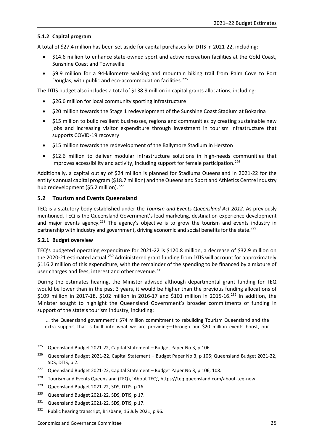## <span id="page-30-0"></span>**5.1.2 Capital program**

A total of \$27.4 million has been set aside for capital purchases for DTIS in 2021-22, including:

- \$14.6 million to enhance state-owned sport and active recreation facilities at the Gold Coast, Sunshine Coast and Townsville
- \$9.9 million for a 94-kilometre walking and mountain biking trail from Palm Cove to Port Douglas, with public and eco-accommodation facilities. [225](#page-30-3)

The DTIS budget also includes a total of \$138.9 million in capital grants allocations, including:

- \$26.6 million for local community sporting infrastructure
- \$20 million towards the Stage 1 redevelopment of the Sunshine Coast Stadium at Bokarina
- \$15 million to build resilient businesses, regions and communities by creating sustainable new jobs and increasing visitor expenditure through investment in tourism infrastructure that supports COVID-19 recovery
- \$15 million towards the redevelopment of the Ballymore Stadium in Herston
- \$12.6 million to deliver modular infrastructure solutions in high-needs communities that improves accessibility and activity, including support for female participation.<sup>[226](#page-30-4)</sup>

Additionally, a capital outlay of \$24 million is planned for Stadiums Queensland in 2021-22 for the entity's annual capital program (\$18.7 million) and the Queensland Sport and Athletics Centre industry hub redevelopment (\$5.2 million).<sup>[227](#page-30-5)</sup>

## <span id="page-30-1"></span>**5.2 Tourism and Events Queensland**

TEQ is a statutory body established under the *Tourism and Events Queensland Act 2012.* As previously mentioned, TEQ is the Queensland Government's lead marketing, destination experience development and major events agency.<sup>228</sup> The agency's objective is to grow the tourism and events industry in partnership with industry and government, driving economic and social benefits for the state.<sup>[229](#page-30-7)</sup>

## <span id="page-30-2"></span>**5.2.1 Budget overview**

1

TEQ's budgeted operating expenditure for 2021-22 is \$120.8 million, a decrease of \$32.9 million on the 2020-21 estimated actual.<sup>[230](#page-30-8)</sup> Administered grant funding from DTIS will account for approximately \$116.2 million of this expenditure, with the remainder of the spending to be financed by a mixture of user charges and fees, interest and other revenue.<sup>[231](#page-30-9)</sup>

During the estimates hearing, the Minister advised although departmental grant funding for TEQ would be lower than in the past 3 years, it would be higher than the previous funding allocations of \$109 million in 2017-18, \$102 million in 2016-17 and \$101 million in 2015-16.<sup>[232](#page-30-10)</sup> In addition, the Minister sought to highlight the Queensland Government's broader commitments of funding in support of the state's tourism industry, including:

… the Queensland government's \$74 million commitment to rebuilding Tourism Queensland and the extra support that is built into what we are providing—through our \$20 million events boost, our

<span id="page-30-3"></span><sup>&</sup>lt;sup>225</sup> Queensland Budget 2021-22, Capital Statement – Budget Paper No 3, p 106.

<span id="page-30-4"></span><sup>&</sup>lt;sup>226</sup> Queensland Budget 2021-22, Capital Statement – Budget Paper No 3, p 106; Queensland Budget 2021-22, SDS, DTIS, p 2.

<span id="page-30-5"></span> $227$  Queensland Budget 2021-22, Capital Statement – Budget Paper No 3, p 106, 108.

<span id="page-30-6"></span><sup>&</sup>lt;sup>228</sup> Tourism and Events Queensland (TEQ), 'About TEQ', https://teq.queensland.com/about-teq-new.

<span id="page-30-7"></span><sup>&</sup>lt;sup>229</sup> Queensland Budget 2021-22, SDS, DTIS, p 16.

<span id="page-30-8"></span><sup>&</sup>lt;sup>230</sup> Queensland Budget 2021-22, SDS, DTIS, p 17.

<span id="page-30-9"></span><sup>&</sup>lt;sup>231</sup> Queensland Budget 2021-22, SDS, DTIS, p 17.

<span id="page-30-10"></span><sup>&</sup>lt;sup>232</sup> Public hearing transcript, Brisbane, 16 July 2021, p 96.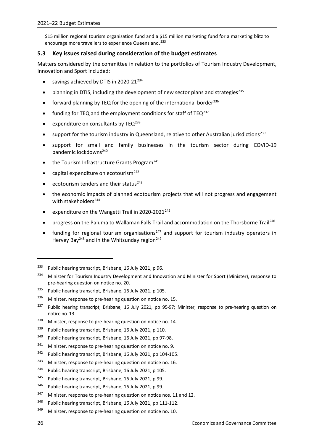\$15 million regional tourism organisation fund and a \$15 million marketing fund for a marketing blitz to encourage more travellers to experience Queensland.<sup>[233](#page-31-1)</sup>

## <span id="page-31-0"></span>**5.3 Key issues raised during consideration of the budget estimates**

Matters considered by the committee in relation to the portfolios of Tourism Industry Development, Innovation and Sport included:

- savings achieved by DTIS in 2020-21 $^{234}$  $^{234}$  $^{234}$
- planning in DTIS, including the development of new sector plans and strategies<sup>[235](#page-31-3)</sup>
- forward planning by TEQ for the opening of the international border<sup>[236](#page-31-4)</sup>
- funding for TEQ and the employment conditions for staff of TEQ $^{237}$  $^{237}$  $^{237}$
- expenditure on consultants by TEQ<sup>[238](#page-31-6)</sup>
- support for the tourism industry in Queensland, relative to other Australian jurisdictions<sup>[239](#page-31-7)</sup>
- support for small and family businesses in the tourism sector during COVID-19 pandemic lockdowns<sup>[240](#page-31-8)</sup>
- the Tourism Infrastructure Grants Program<sup>[241](#page-31-9)</sup>
- capital expenditure on ecotourism $^{242}$  $^{242}$  $^{242}$
- ecotourism tenders and their status<sup>[243](#page-31-11)</sup>
- the economic impacts of planned ecotourism projects that will not progress and engagement with stakeholders<sup>[244](#page-31-12)</sup>
- expenditure on the Wangetti Trail in 2020-2021<sup>[245](#page-31-13)</sup>
- progress on the Paluma to Wallaman Falls Trail and accommodation on the Thorsborne Trail<sup>246</sup>
- funding for regional tourism organisations<sup>[247](#page-31-15)</sup> and support for tourism industry operators in Hervey Bay<sup>[248](#page-31-16)</sup> and in the Whitsunday region<sup>[249](#page-31-17)</sup>

-

<span id="page-31-1"></span><sup>&</sup>lt;sup>233</sup> Public hearing transcript, Brisbane, 16 July 2021, p 96.

<span id="page-31-2"></span><sup>&</sup>lt;sup>234</sup> Minister for Tourism Industry Development and Innovation and Minister for Sport (Minister), response to pre-hearing question on notice no. 20.

<span id="page-31-3"></span><sup>&</sup>lt;sup>235</sup> Public hearing transcript, Brisbane, 16 July 2021, p 105.

<span id="page-31-4"></span><sup>&</sup>lt;sup>236</sup> Minister, response to pre-hearing question on notice no. 15.

<span id="page-31-5"></span><sup>&</sup>lt;sup>237</sup> Public hearing transcript, Brisbane, 16 July 2021, pp 95-97; Minister, response to pre-hearing question on notice no. 13.

<span id="page-31-6"></span><sup>&</sup>lt;sup>238</sup> Minister, response to pre-hearing question on notice no. 14.

<span id="page-31-7"></span><sup>&</sup>lt;sup>239</sup> Public hearing transcript, Brisbane, 16 July 2021, p 110.

<span id="page-31-8"></span><sup>&</sup>lt;sup>240</sup> Public hearing transcript, Brisbane, 16 July 2021, pp 97-98.

<span id="page-31-9"></span> $241$  Minister, response to pre-hearing question on notice no. 9.

<span id="page-31-10"></span><sup>&</sup>lt;sup>242</sup> Public hearing transcript, Brisbane, 16 July 2021, pp 104-105.

<span id="page-31-11"></span> $243$  Minister, response to pre-hearing question on notice no. 16.

<span id="page-31-12"></span><sup>&</sup>lt;sup>244</sup> Public hearing transcript, Brisbane, 16 July 2021, p 105.

<span id="page-31-13"></span><sup>245</sup> Public hearing transcript, Brisbane, 16 July 2021, p 99.

<span id="page-31-14"></span><sup>&</sup>lt;sup>246</sup> Public hearing transcript, Brisbane, 16 July 2021, p 99.

<span id="page-31-15"></span> $247$  Minister, response to pre-hearing question on notice nos. 11 and 12.

<span id="page-31-16"></span><sup>&</sup>lt;sup>248</sup> Public hearing transcript, Brisbane, 16 July 2021, pp 111-112.

<span id="page-31-17"></span> $249$  Minister, response to pre-hearing question on notice no. 10.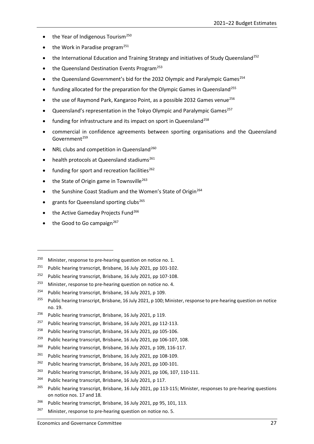- the Year of Indigenous Tourism $^{250}$  $^{250}$  $^{250}$
- the Work in Paradise program<sup>[251](#page-32-1)</sup>
- the International Education and Training Strategy and initiatives of Study Queensland<sup>[252](#page-32-2)</sup>
- $\bullet$  the Queensland Destination Events Program<sup>[253](#page-32-3)</sup>
- the Queensland Government's bid for the 2032 Olympic and Paralympic Games<sup>254</sup>
- funding allocated for the preparation for the Olympic Games in Queensland<sup>[255](#page-32-5)</sup>
- the use of Raymond Park, Kangaroo Point, as a possible 2032 Games venue<sup>[256](#page-32-6)</sup>
- Queensland's representation in the Tokyo Olympic and Paralympic Games<sup>[257](#page-32-7)</sup>
- funding for infrastructure and its impact on sport in Queensland<sup>[258](#page-32-8)</sup>
- commercial in confidence agreements between sporting organisations and the Queensland Government<sup>[259](#page-32-9)</sup>
- NRL clubs and competition in Queensland<sup>[260](#page-32-10)</sup>
- health protocols at Queensland stadiums<sup>[261](#page-32-11)</sup>
- $\bullet$  funding for sport and recreation facilities<sup>[262](#page-32-12)</sup>
- the State of Origin game in Townsville<sup>[263](#page-32-13)</sup>
- the Sunshine Coast Stadium and the Women's State of Origin<sup>[264](#page-32-14)</sup>
- grants for Queensland sporting clubs<sup>[265](#page-32-15)</sup>
- the Active Gameday Projects Fund<sup>[266](#page-32-16)</sup>
- $\bullet$  the Good to Go campaign<sup>[267](#page-32-17)</sup>

1

<span id="page-32-1"></span><sup>251</sup> Public hearing transcript, Brisbane, 16 July 2021, pp 101-102.

<span id="page-32-3"></span> $253$  Minister, response to pre-hearing question on notice no. 4.

<span id="page-32-9"></span><sup>259</sup> Public hearing transcript, Brisbane, 16 July 2021, pp 106-107, 108.

- <span id="page-32-11"></span> $261$  Public hearing transcript, Brisbane, 16 July 2021, pp 108-109.
- <span id="page-32-12"></span> $262$  Public hearing transcript, Brisbane, 16 July 2021, pp 100-101.
- <span id="page-32-13"></span><sup>263</sup> Public hearing transcript, Brisbane, 16 July 2021, pp 106, 107, 110-111.
- <span id="page-32-14"></span><sup>264</sup> Public hearing transcript, Brisbane, 16 July 2021, p 117.
- <span id="page-32-15"></span><sup>265</sup> Public hearing transcript, Brisbane, 16 July 2021, pp 113-115; Minister, responses to pre-hearing questions on notice nos. 17 and 18.
- <span id="page-32-16"></span><sup>266</sup> Public hearing transcript, Brisbane, 16 July 2021, pp 95, 101, 113.
- <span id="page-32-17"></span> $267$  Minister, response to pre-hearing question on notice no. 5.

<span id="page-32-0"></span> $250$  Minister, response to pre-hearing question on notice no. 1.

<span id="page-32-2"></span><sup>252</sup> Public hearing transcript, Brisbane, 16 July 2021, pp 107-108.

<span id="page-32-4"></span><sup>&</sup>lt;sup>254</sup> Public hearing transcript, Brisbane, 16 July 2021, p 109.

<span id="page-32-5"></span><sup>&</sup>lt;sup>255</sup> Public hearing transcript, Brisbane, 16 July 2021, p 100; Minister, response to pre-hearing question on notice no. 19.

<span id="page-32-6"></span><sup>&</sup>lt;sup>256</sup> Public hearing transcript, Brisbane, 16 July 2021, p 119.

<span id="page-32-7"></span><sup>&</sup>lt;sup>257</sup> Public hearing transcript, Brisbane, 16 July 2021, pp 112-113.

<span id="page-32-8"></span><sup>&</sup>lt;sup>258</sup> Public hearing transcript, Brisbane, 16 July 2021, pp 105-106.

<span id="page-32-10"></span><sup>&</sup>lt;sup>260</sup> Public hearing transcript, Brisbane, 16 July 2021, p 109, 116-117.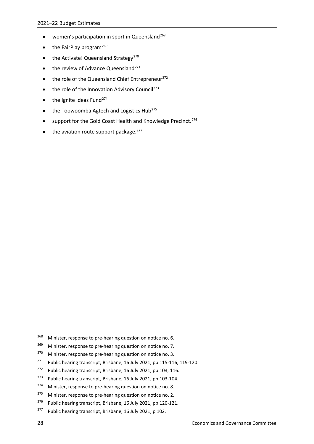- women's participation in sport in Queensland<sup>[268](#page-33-0)</sup>
- $\bullet$  the FairPlay program<sup>[269](#page-33-1)</sup>
- $\bullet$  the Activate! Queensland Strategy<sup>[270](#page-33-2)</sup>
- $\bullet$  the review of Advance Queensland<sup>[271](#page-33-3)</sup>
- the role of the Queensland Chief Entrepreneur<sup>[272](#page-33-4)</sup>
- the role of the Innovation Advisory Council<sup>[273](#page-33-5)</sup>
- $\bullet$  the Ignite Ideas Fund<sup>[274](#page-33-6)</sup>
- the Toowoomba Agtech and Logistics Hub<sup>[275](#page-33-7)</sup>
- support for the Gold Coast Health and Knowledge Precinct.<sup>[276](#page-33-8)</sup>
- the aviation route support package.<sup>[277](#page-33-9)</sup>

1

<span id="page-33-0"></span><sup>&</sup>lt;sup>268</sup> Minister, response to pre-hearing question on notice no. 6.

<span id="page-33-1"></span><sup>&</sup>lt;sup>269</sup> Minister, response to pre-hearing question on notice no. 7.

<span id="page-33-2"></span><sup>&</sup>lt;sup>270</sup> Minister, response to pre-hearing question on notice no. 3.

<span id="page-33-3"></span><sup>&</sup>lt;sup>271</sup> Public hearing transcript, Brisbane, 16 July 2021, pp 115-116, 119-120.

<span id="page-33-4"></span><sup>&</sup>lt;sup>272</sup> Public hearing transcript, Brisbane, 16 July 2021, pp 103, 116.

<span id="page-33-5"></span><sup>273</sup> Public hearing transcript, Brisbane, 16 July 2021, pp 103-104.

<span id="page-33-6"></span><sup>&</sup>lt;sup>274</sup> Minister, response to pre-hearing question on notice no. 8.

<span id="page-33-7"></span> $275$  Minister, response to pre-hearing question on notice no. 2.

<span id="page-33-8"></span><sup>&</sup>lt;sup>276</sup> Public hearing transcript, Brisbane, 16 July 2021, pp 120-121.

<span id="page-33-9"></span><sup>&</sup>lt;sup>277</sup> Public hearing transcript, Brisbane, 16 July 2021, p 102.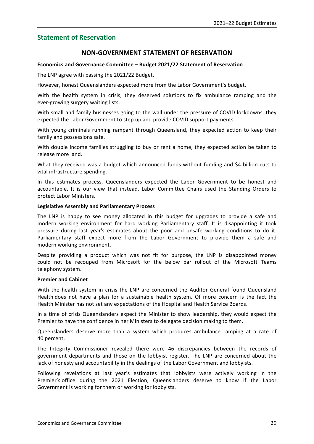# <span id="page-34-0"></span>**Statement of Reservation**

# **NON-GOVERNMENT STATEMENT OF RESERVATION**

#### **Economics and Governance Committee – Budget 2021/22 Statement of Reservation**

The LNP agree with passing the 2021/22 Budget.

However, honest Queenslanders expected more from the Labor Government's budget.

With the health system in crisis, they deserved solutions to fix ambulance ramping and the ever-growing surgery waiting lists.

With small and family businesses going to the wall under the pressure of COVID lockdowns, they expected the Labor Government to step up and provide COVID support payments.

With young criminals running rampant through Queensland, they expected action to keep their family and possessions safe.

With double income families struggling to buy or rent a home, they expected action be taken to release more land.

What they received was a budget which announced funds without funding and \$4 billion cuts to vital infrastructure spending.

In this estimates process, Queenslanders expected the Labor Government to be honest and accountable. It is our view that instead, Labor Committee Chairs used the Standing Orders to protect Labor Ministers.

#### **Legislative Assembly and Parliamentary Process**

The LNP is happy to see money allocated in this budget for upgrades to provide a safe and modern working environment for hard working Parliamentary staff. It is disappointing it took pressure during last year's estimates about the poor and unsafe working conditions to do it. Parliamentary staff expect more from the Labor Government to provide them a safe and modern working environment.

Despite providing a product which was not fit for purpose, the LNP is disappointed money could not be recouped from Microsoft for the below par rollout of the Microsoft Teams telephony system.

## **Premier and Cabinet**

With the health system in crisis the LNP are concerned the Auditor General found Queensland Health does not have a plan for a sustainable health system. Of more concern is the fact the Health Minister has not set any expectations of the Hospital and Health Service Boards.

In a time of crisis Queenslanders expect the Minister to show leadership, they would expect the Premier to have the confidence in her Ministers to delegate decision making to them.

Queenslanders deserve more than a system which produces ambulance ramping at a rate of 40 percent.

The Integrity Commissioner revealed there were 46 discrepancies between the records of government departments and those on the lobbyist register. The LNP are concerned about the lack of honesty and accountability in the dealings of the Labor Government and lobbyists.

Following revelations at last year's estimates that lobbyists were actively working in the Premier's office during the 2021 Election, Queenslanders deserve to know if the Labor Government is working for them or working for lobbyists.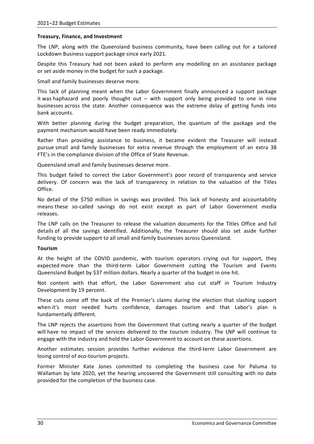## **Treasury, Finance, and Investment**

The LNP, along with the Queensland business community, have been calling out for a tailored Lockdown Business support package since early 2021.

Despite this Treasury had not been asked to perform any modelling on an assistance package or set aside money in the budget for such a package.

Small and family businesses deserve more.

This lack of planning meant when the Labor Government finally announced a support package it was haphazard and poorly thought out – with support only being provided to one in nine businesses across the state. Another consequence was the extreme delay of getting funds into bank accounts.

With better planning during the budget preparation, the quantum of the package and the payment mechanism would have been ready immediately.

Rather than providing assistance to business, it became evident the Treasurer will instead pursue small and family businesses for extra revenue through the employment of an extra 38 FTE's in the compliance division of the Office of State Revenue.

Queensland small and family businesses deserve more.

This budget failed to correct the Labor Government's poor record of transparency and service delivery. Of concern was the lack of transparency in relation to the valuation of the Titles Office.

No detail of the \$750 million in savings was provided. This lack of honesty and accountability means these so-called savings do not exist except as part of Labor Government media releases.

The LNP calls on the Treasurer to release the valuation documents for the Titles Office and full details of all the savings identified. Additionally, the Treasurer should also set aside further funding to provide support to all small and family businesses across Queensland.

## **Tourism**

At the height of the COVID pandemic, with tourism operators crying out for support, they expected more than the third-term Labor Government cutting the Tourism and Events Queensland Budget by \$37 million dollars. Nearly a quarter of the budget in one hit.

Not content with that effort, the Labor Government also cut staff in Tourism Industry Development by 19 percent.

These cuts come off the back of the Premier's claims during the election that slashing support when it's most needed hurts confidence, damages tourism and that Labor's plan is fundamentally different.

The LNP rejects the assertions from the Government that cutting nearly a quarter of the budget will have no impact of the services delivered to the tourism industry. The LNP will continue to engage with the industry and hold the Labor Government to account on these assertions.

Another estimates session provides further evidence the third-term Labor Government are losing control of eco-tourism projects.

Former Minister Kate Jones committed to completing the business case for Paluma to Wallaman by late 2020, yet the hearing uncovered the Government still consulting with no date provided for the completion of the business case.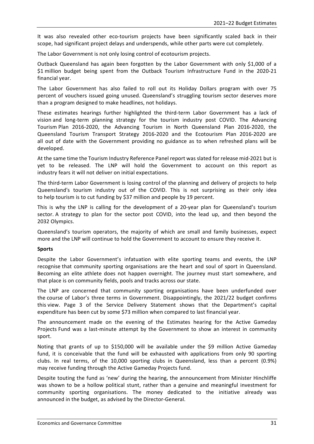It was also revealed other eco-tourism projects have been significantly scaled back in their scope, had significant project delays and underspends, while other parts were cut completely.

The Labor Government is not only losing control of ecotourism projects.

Outback Queensland has again been forgotten by the Labor Government with only \$1,000 of a \$1 million budget being spent from the Outback Tourism Infrastructure Fund in the 2020-21 financial year.

The Labor Government has also failed to roll out its Holiday Dollars program with over 75 percent of vouchers issued going unused. Queensland's struggling tourism sector deserves more than a program designed to make headlines, not holidays.

These estimates hearings further highlighted the third-term Labor Government has a lack of vision and long-term planning strategy for the tourism industry post COVID. The Advancing Tourism Plan 2016-2020, the Advancing Tourism in North Queensland Plan 2016-2020, the Queensland Tourism Transport Strategy 2016-2020 and the Ecotourism Plan 2016-2020 are all out of date with the Government providing no guidance as to when refreshed plans will be developed.

At the same time the Tourism Industry Reference Panel report was slated for release mid-2021 but is yet to be released. The LNP will hold the Government to account on this report as industry fears it will not deliver on initial expectations.

The third-term Labor Government is losing control of the planning and delivery of projects to help Queensland's tourism industry out of the COVID. This is not surprising as their only idea to help tourism is to cut funding by \$37 million and people by 19 percent.

This is why the LNP is calling for the development of a 20-year plan for Queensland's tourism sector. A strategy to plan for the sector post COVID, into the lead up, and then beyond the 2032 Olympics.

Queensland's tourism operators, the majority of which are small and family businesses, expect more and the LNP will continue to hold the Government to account to ensure they receive it.

## **Sports**

Despite the Labor Government's infatuation with elite sporting teams and events, the LNP recognise that community sporting organisations are the heart and soul of sport in Queensland. Becoming an elite athlete does not happen overnight. The journey must start somewhere, and that place is on community fields, pools and tracks across our state.

The LNP are concerned that community sporting organisations have been underfunded over the course of Labor's three terms in Government. Disappointingly, the 2021/22 budget confirms this view. Page 3 of the Service Delivery Statement shows that the Department's capital expenditure has been cut by some \$73 million when compared to last financial year.

The announcement made on the evening of the Estimates hearing for the Active Gameday Projects Fund was a last-minute attempt by the Government to show an interest in community sport.

Noting that grants of up to \$150,000 will be available under the \$9 million Active Gameday fund, it is conceivable that the fund will be exhausted with applications from only 90 sporting clubs. In real terms, of the 10,000 sporting clubs in Queensland, less than a percent (0.9%) may receive funding through the Active Gameday Projects fund.

Despite touting the fund as 'new' during the hearing, the announcement from Minister Hinchliffe was shown to be a hollow political stunt, rather than a genuine and meaningful investment for community sporting organisations. The money dedicated to the initiative already was announced in the budget, as advised by the Director-General.